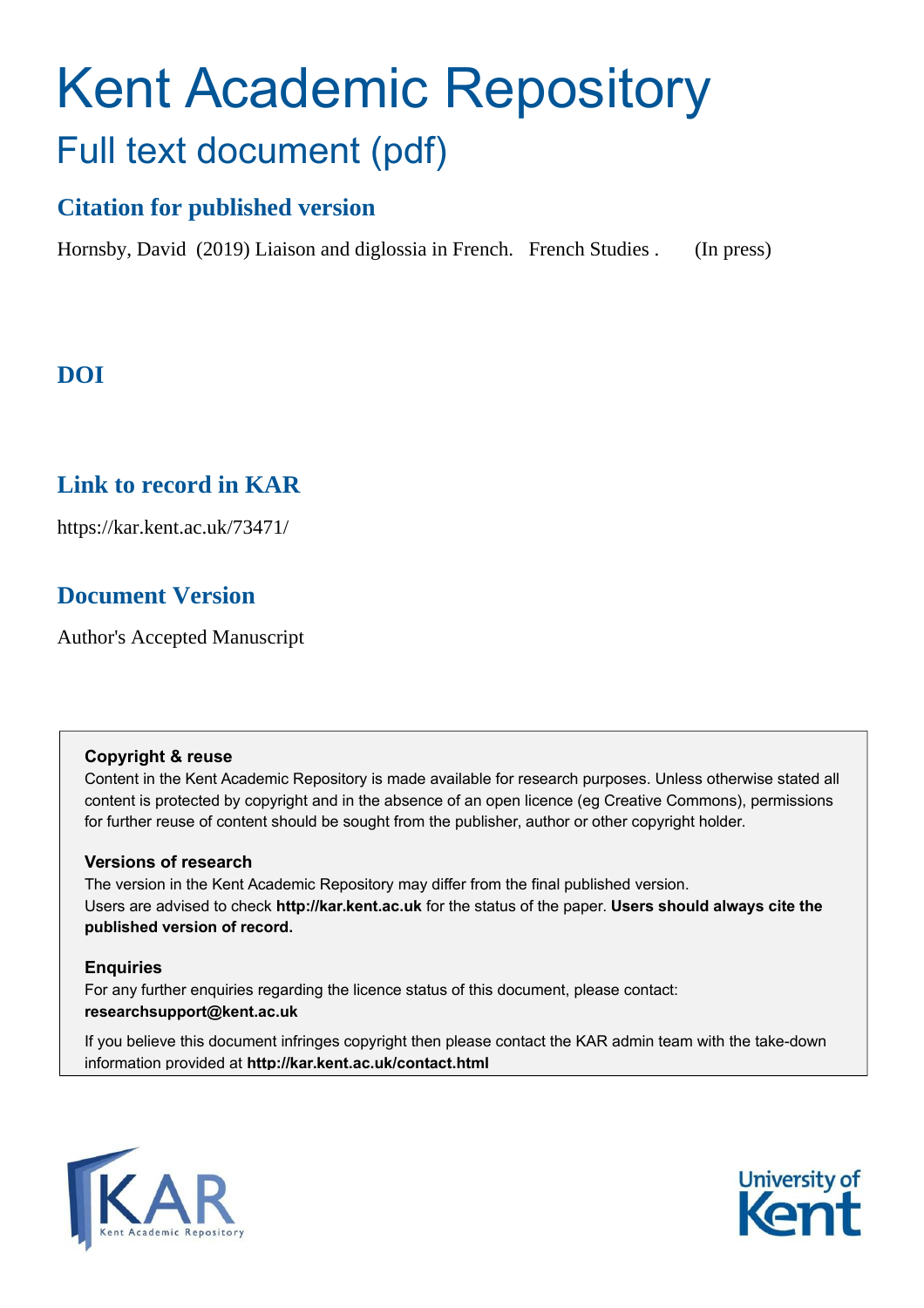# Kent Academic Repository Full text document (pdf)

# **Citation for published version**

Hornsby, David (2019) Liaison and diglossia in French. French Studies . (In press)

# **DOI**

# **Link to record in KAR**

https://kar.kent.ac.uk/73471/

# **Document Version**

Author's Accepted Manuscript

# **Copyright & reuse**

Content in the Kent Academic Repository is made available for research purposes. Unless otherwise stated all content is protected by copyright and in the absence of an open licence (eg Creative Commons), permissions for further reuse of content should be sought from the publisher, author or other copyright holder.

# **Versions of research**

The version in the Kent Academic Repository may differ from the final published version. Users are advised to check **http://kar.kent.ac.uk** for the status of the paper. **Users should always cite the published version of record.**

# **Enquiries**

For any further enquiries regarding the licence status of this document, please contact: **researchsupport@kent.ac.uk**

If you believe this document infringes copyright then please contact the KAR admin team with the take-down information provided at **http://kar.kent.ac.uk/contact.html**



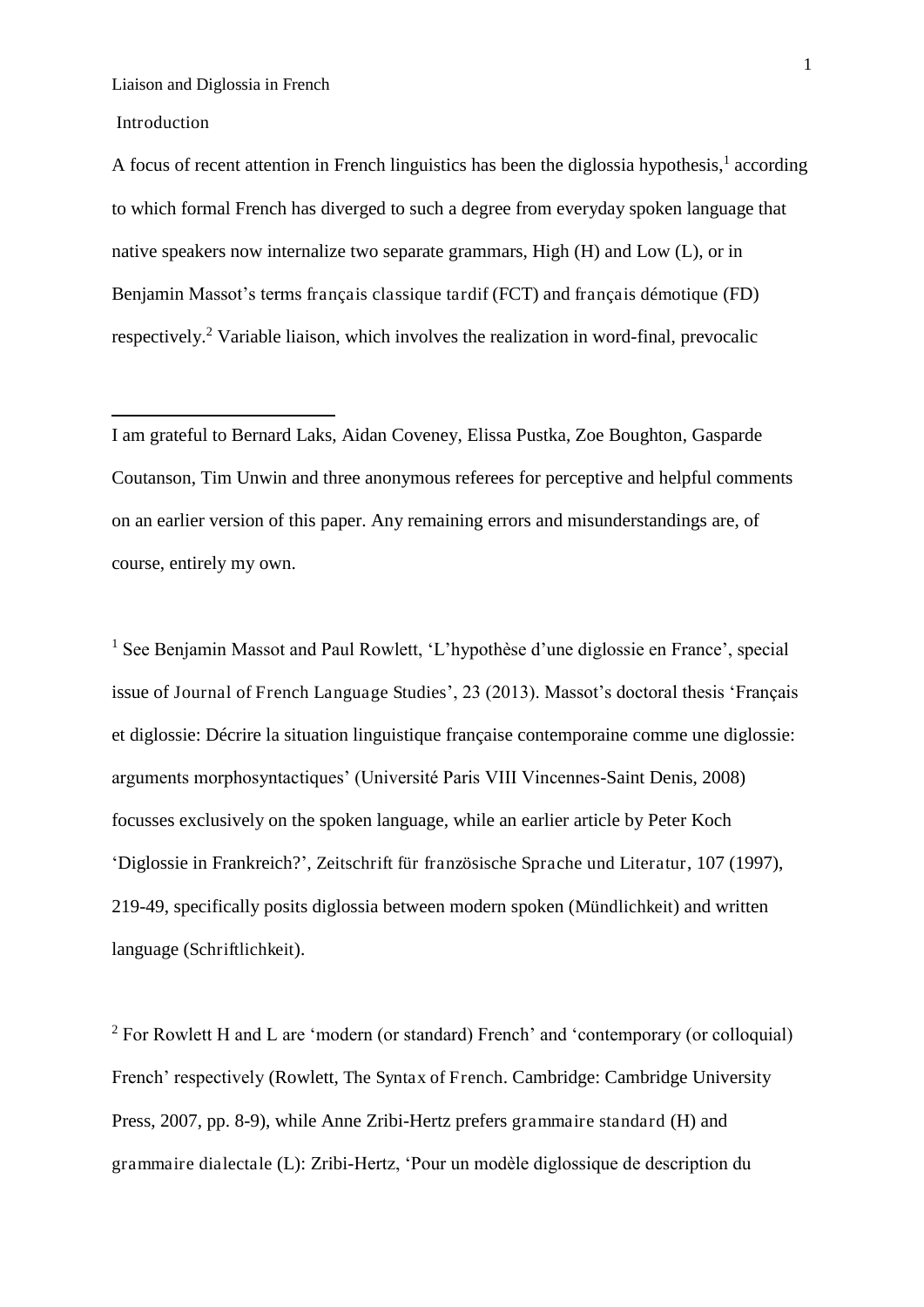#### Introduction

<u>.</u>

A focus of recent attention in French linguistics has been the diglossia hypothesis,<sup>1</sup> according to which formal French has diverged to such a degree from everyday spoken language that native speakers now internalize two separate grammars, High (H) and Low (L), or in Benjamin Massot's terms français classique tardif (FCT) and français démotique (FD) respectively.<sup>2</sup> Variable liaison, which involves the realization in word-final, prevocalic

I am grateful to Bernard Laks, Aidan Coveney, Elissa Pustka, Zoe Boughton, Gasparde Coutanson, Tim Unwin and three anonymous referees for perceptive and helpful comments on an earlier version of this paper. Any remaining errors and misunderstandings are, of course, entirely my own.

<sup>1</sup> See Benjamin Massot and Paul Rowlett, 'L'hypothèse d'une diglossie en France', special issue of Journal of French Language Studies', 23 (2013). Massot's doctoral thesis 'Français et diglossie: Décrire la situation linguistique française contemporaine comme une diglossie: arguments morphosyntactiques' (Université Paris VIII Vincennes-Saint Denis, 2008) focusses exclusively on the spoken language, while an earlier article by Peter Koch 'Diglossie in Frankreich?', Zeitschrift für französische Sprache und Literatur, 107 (1997), 219-49, specifically posits diglossia between modern spoken (Mündlichkeit) and written language (Schriftlichkeit).

 $2$  For Rowlett H and L are 'modern (or standard) French' and 'contemporary (or colloquial) French' respectively (Rowlett, The Syntax of French. Cambridge: Cambridge University Press, 2007, pp. 8-9), while Anne Zribi-Hertz prefers grammaire standard (H) and grammaire dialectale (L): Zribi-Hertz, 'Pour un modèle diglossique de description du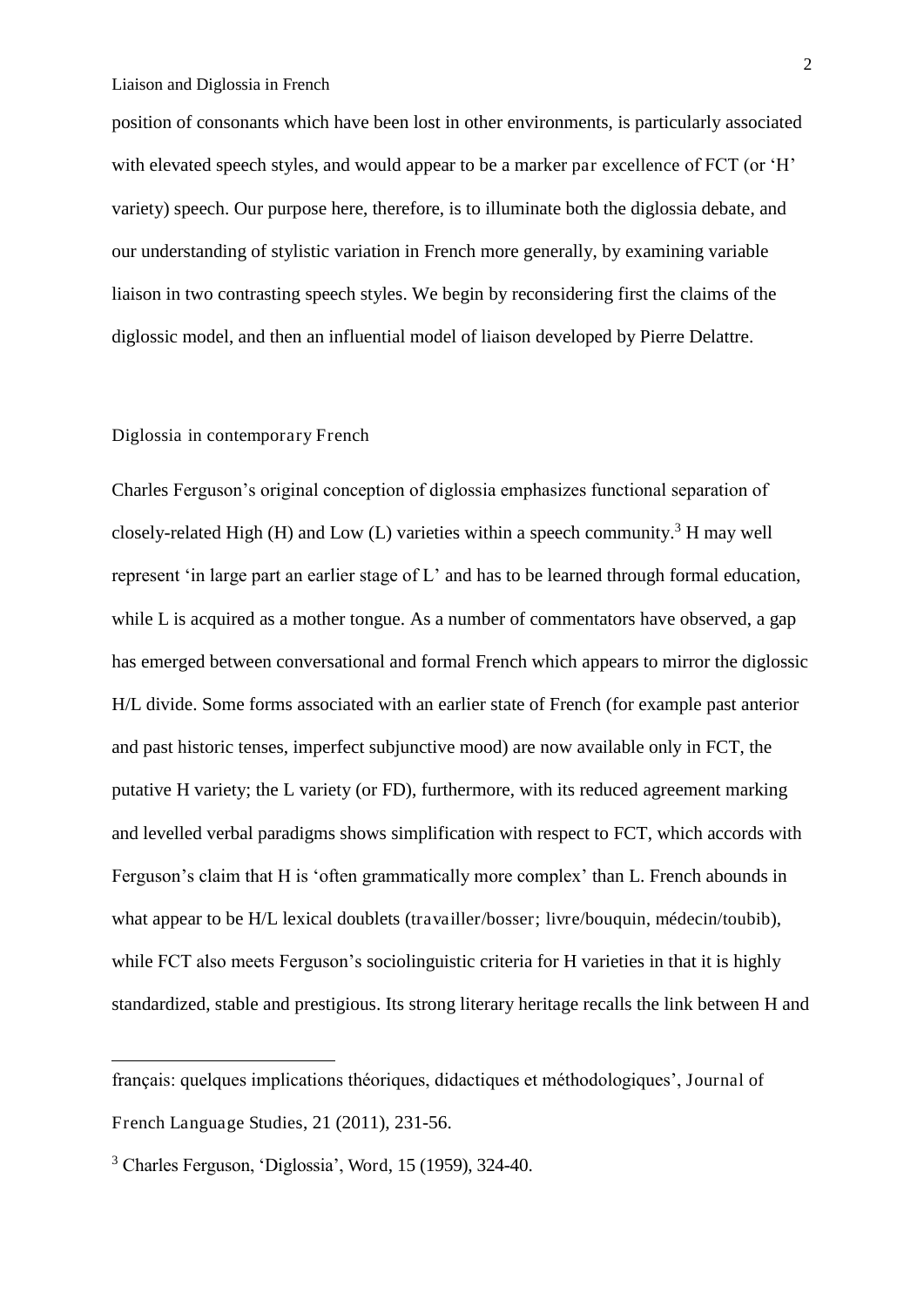position of consonants which have been lost in other environments, is particularly associated with elevated speech styles, and would appear to be a marker par excellence of FCT (or 'H' variety) speech. Our purpose here, therefore, is to illuminate both the diglossia debate, and our understanding of stylistic variation in French more generally, by examining variable liaison in two contrasting speech styles. We begin by reconsidering first the claims of the diglossic model, and then an influential model of liaison developed by Pierre Delattre.

# Diglossia in contemporary French

Charles Ferguson's original conception of diglossia emphasizes functional separation of closely-related High (H) and Low (L) varieties within a speech community.<sup>3</sup> H may well represent 'in large part an earlier stage of L' and has to be learned through formal education, while L is acquired as a mother tongue. As a number of commentators have observed, a gap has emerged between conversational and formal French which appears to mirror the diglossic H/L divide. Some forms associated with an earlier state of French (for example past anterior and past historic tenses, imperfect subjunctive mood) are now available only in FCT, the putative H variety; the L variety (or FD), furthermore, with its reduced agreement marking and levelled verbal paradigms shows simplification with respect to FCT, which accords with Ferguson's claim that H is 'often grammatically more complex' than L. French abounds in what appear to be H/L lexical doublets (travailler/bosser; livre/bouquin, médecin/toubib), while FCT also meets Ferguson's sociolinguistic criteria for H varieties in that it is highly standardized, stable and prestigious. Its strong literary heritage recalls the link between H and

-

français: quelques implications théoriques, didactiques et méthodologiques', Journal of French Language Studies, 21 (2011), 231-56.

<sup>3</sup> Charles Ferguson, 'Diglossia', Word, 15 (1959), 324-40.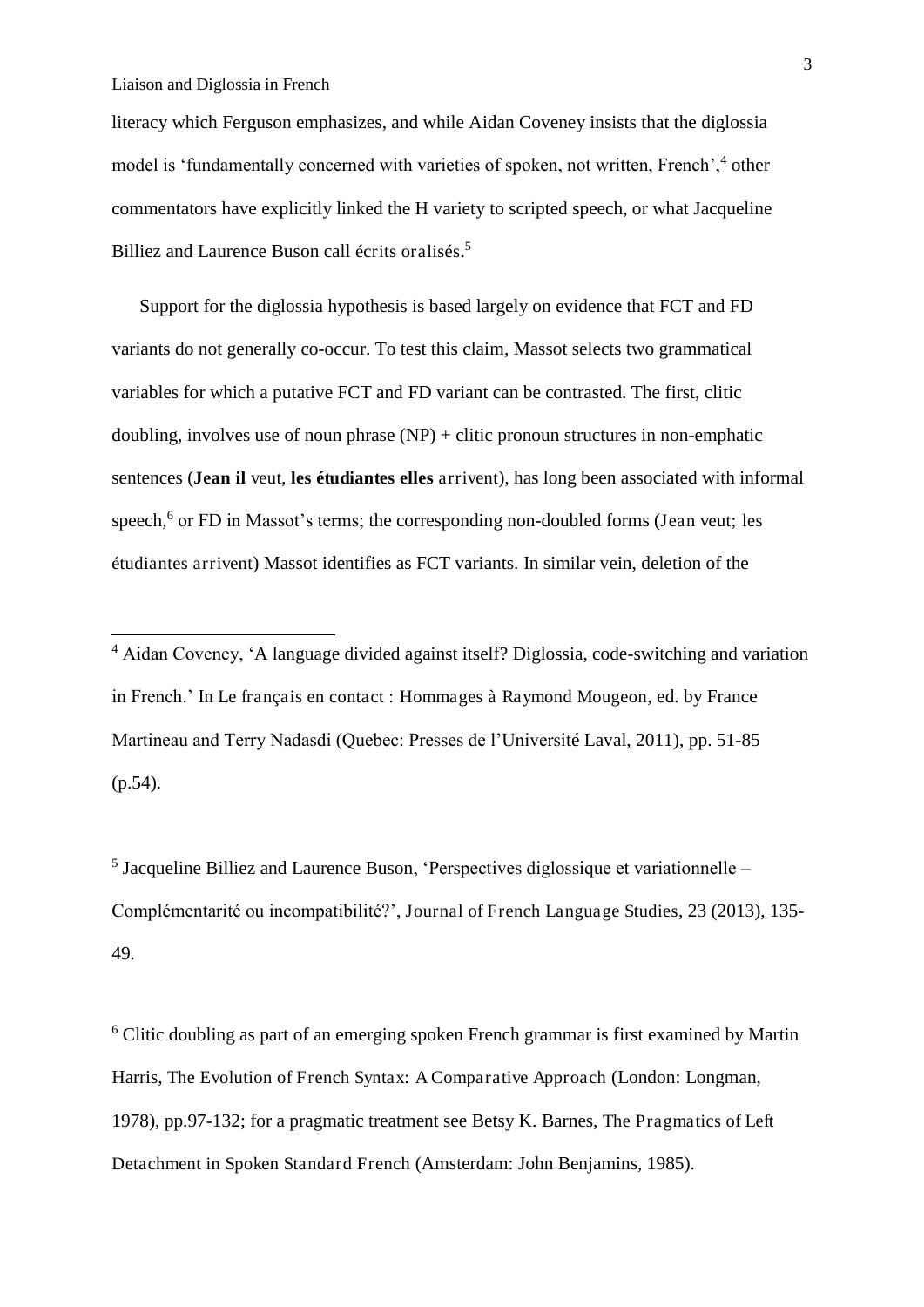-

literacy which Ferguson emphasizes, and while Aidan Coveney insists that the diglossia model is 'fundamentally concerned with varieties of spoken, not written, French',<sup>4</sup> other commentators have explicitly linked the H variety to scripted speech, or what Jacqueline Billiez and Laurence Buson call écrits oralisés. 5

Support for the diglossia hypothesis is based largely on evidence that FCT and FD variants do not generally co-occur. To test this claim, Massot selects two grammatical variables for which a putative FCT and FD variant can be contrasted. The first, clitic doubling, involves use of noun phrase  $(NP)$  + clitic pronoun structures in non-emphatic sentences (**Jean il** veut, **les étudiantes elles** arrivent), has long been associated with informal speech,<sup>6</sup> or FD in Massot's terms; the corresponding non-doubled forms (Jean veut; les étudiantes arrivent) Massot identifies as FCT variants. In similar vein, deletion of the

<sup>5</sup> Jacqueline Billiez and Laurence Buson, 'Perspectives diglossique et variationnelle -Complémentarité ou incompatibilité?', Journal of French Language Studies, 23 (2013), 135- 49.

<sup>6</sup> Clitic doubling as part of an emerging spoken French grammar is first examined by Martin Harris, The Evolution of French Syntax: A Comparative Approach (London: Longman, 1978), pp.97-132; for a pragmatic treatment see Betsy K. Barnes, The Pragmatics of Left Detachment in Spoken Standard French (Amsterdam: John Benjamins, 1985).

<sup>4</sup> Aidan Coveney, 'A language divided against itself? Diglossia, code-switching and variation in French.' In Le français en contact : Hommages à Raymond Mougeon, ed. by France Martineau and Terry Nadasdi (Quebec: Presses de l'Université Laval, 2011), pp. 51-85  $(p.54)$ .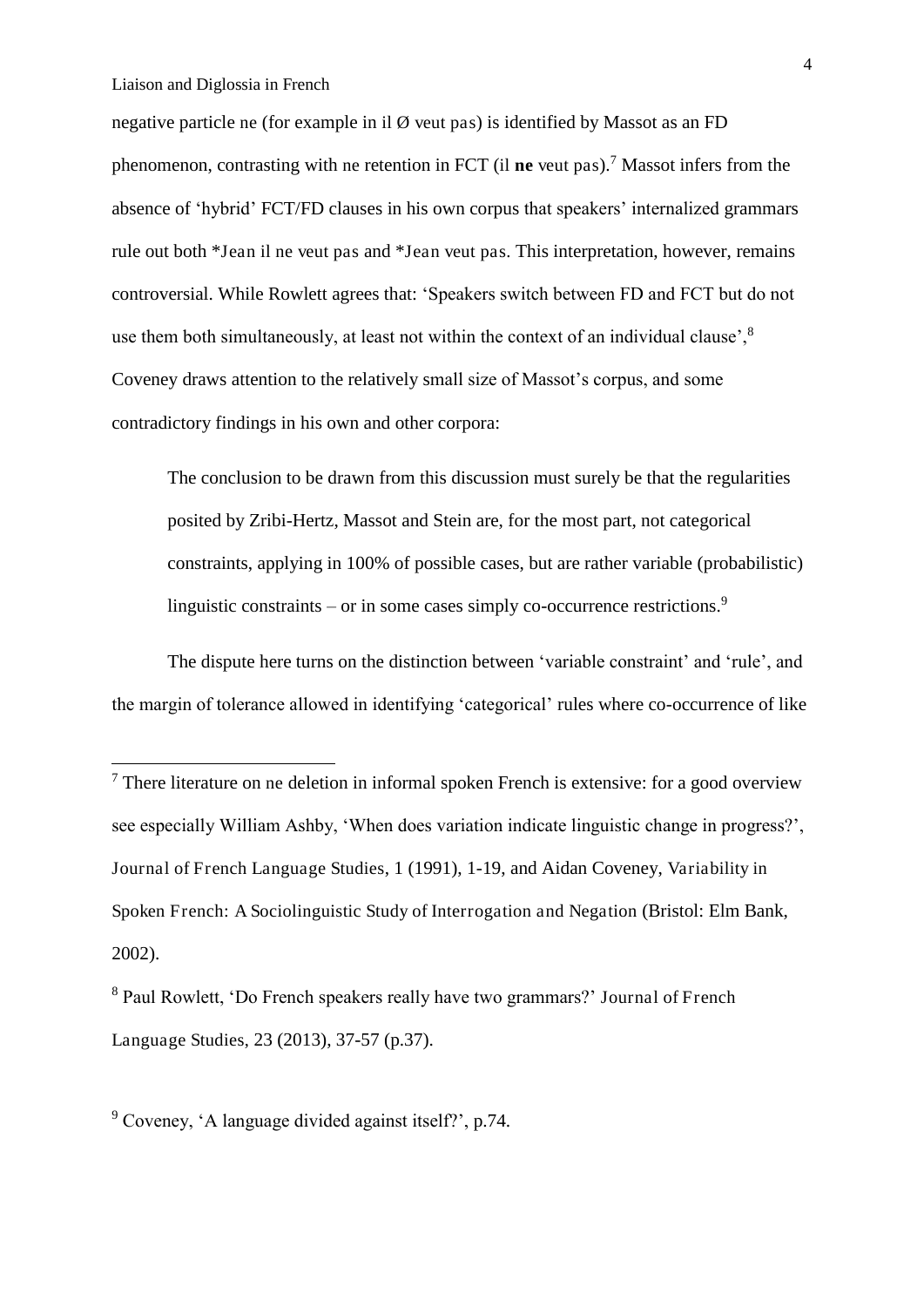-

negative particle ne (for example in il  $\emptyset$  veut pas) is identified by Massot as an FD phenomenon, contrasting with ne retention in FCT (il **ne** veut pas).<sup>7</sup> Massot infers from the absence of 'hybrid' FCT/FD clauses in his own corpus that speakers' internalized grammars rule out both \*Jean il ne veut pas and \*Jean veut pas. This interpretation, however, remains controversial. While Rowlett agrees that: 'Speakers switch between FD and FCT but do not use them both simultaneously, at least not within the context of an individual clause',  $8$ Coveney draws attention to the relatively small size of Massot's corpus, and some contradictory findings in his own and other corpora:

The conclusion to be drawn from this discussion must surely be that the regularities posited by Zribi-Hertz, Massot and Stein are, for the most part, not categorical constraints, applying in 100% of possible cases, but are rather variable (probabilistic) linguistic constraints – or in some cases simply co-occurrence restrictions.<sup>9</sup>

The dispute here turns on the distinction between 'variable constraint' and 'rule', and the margin of tolerance allowed in identifying 'categorical' rules where co-occurrence of like

<sup>9</sup> Coveney, 'A language divided against itself?', p.74.

 $<sup>7</sup>$  There literature on ne deletion in informal spoken French is extensive: for a good overview</sup> see especially William Ashby, 'When does variation indicate linguistic change in progress?', Journal of French Language Studies, 1 (1991), 1-19, and Aidan Coveney, Variability in Spoken French: A Sociolinguistic Study of Interrogation and Negation (Bristol: Elm Bank, 2002).

<sup>8</sup> Paul Rowlett, 'Do French speakers really have two grammars?' Journal of French Language Studies, 23 (2013), 37-57 (p.37).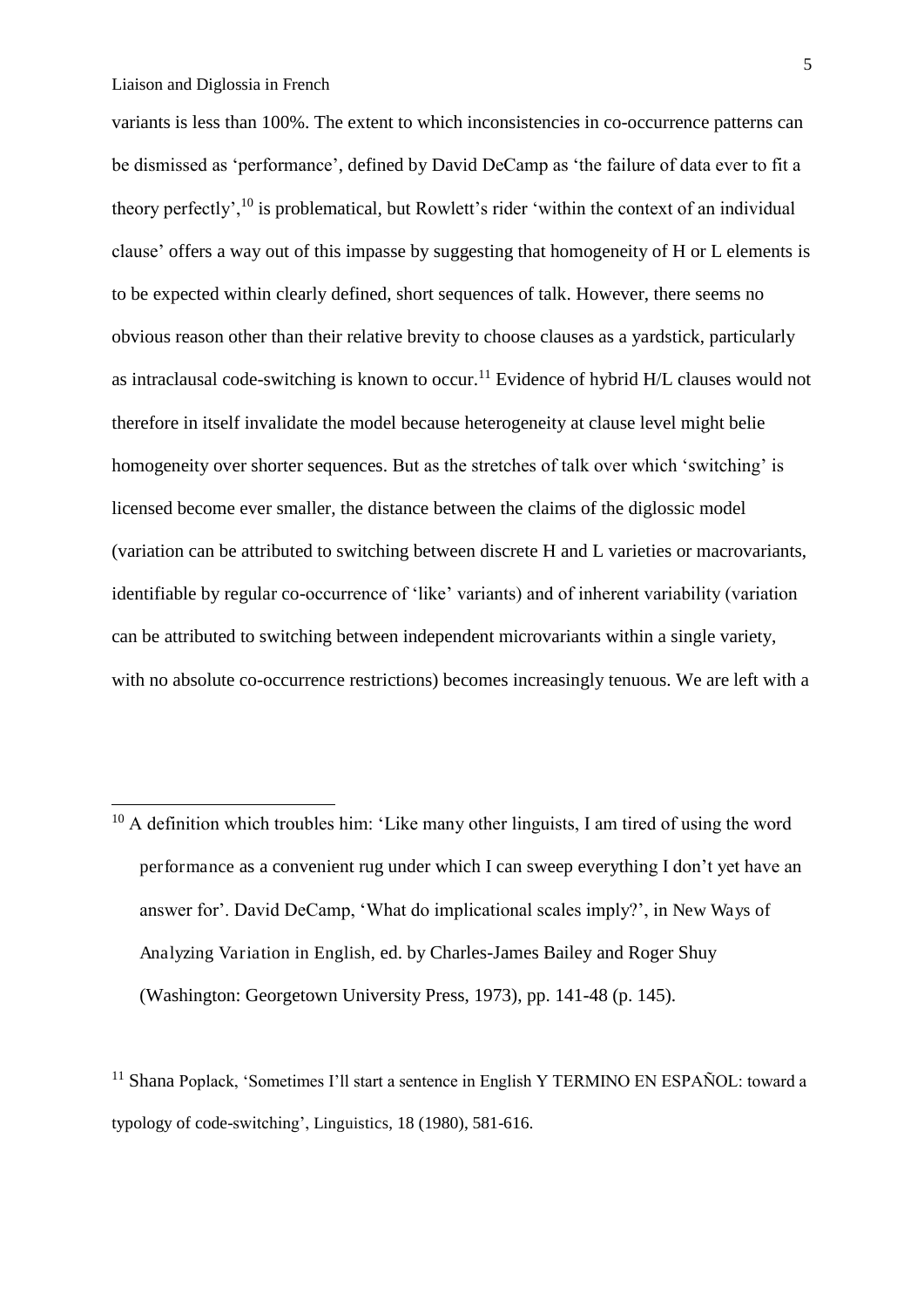-

variants is less than 100%. The extent to which inconsistencies in co-occurrence patterns can be dismissed as 'performance', defined by David DeCamp as 'the failure of data ever to fit a theory perfectly',<sup>10</sup> is problematical, but Rowlett's rider 'within the context of an individual clause' offers a way out of this impasse by suggesting that homogeneity of H or L elements is to be expected within clearly defined, short sequences of talk. However, there seems no obvious reason other than their relative brevity to choose clauses as a yardstick, particularly as intraclausal code-switching is known to occur.<sup>11</sup> Evidence of hybrid  $H/L$  clauses would not therefore in itself invalidate the model because heterogeneity at clause level might belie homogeneity over shorter sequences. But as the stretches of talk over which 'switching' is licensed become ever smaller, the distance between the claims of the diglossic model (variation can be attributed to switching between discrete H and L varieties or macrovariants, identifiable by regular co-occurrence of 'like' variants) and of inherent variability (variation can be attributed to switching between independent microvariants within a single variety, with no absolute co-occurrence restrictions) becomes increasingly tenuous. We are left with a

 $10$  A definition which troubles him: 'Like many other linguists, I am tired of using the word performance as a convenient rug under which I can sweep everything I don't yet have an answer for'. David DeCamp, 'What do implicational scales imply?', in New Ways of Analyzing Variation in English, ed. by Charles-James Bailey and Roger Shuy (Washington: Georgetown University Press, 1973), pp. 141-48 (p. 145).

 $11$  Shana Poplack, 'Sometimes I'll start a sentence in English Y TERMINO EN ESPAÑOL: toward a typology of code-switching', Linguistics, 18 (1980), 581-616.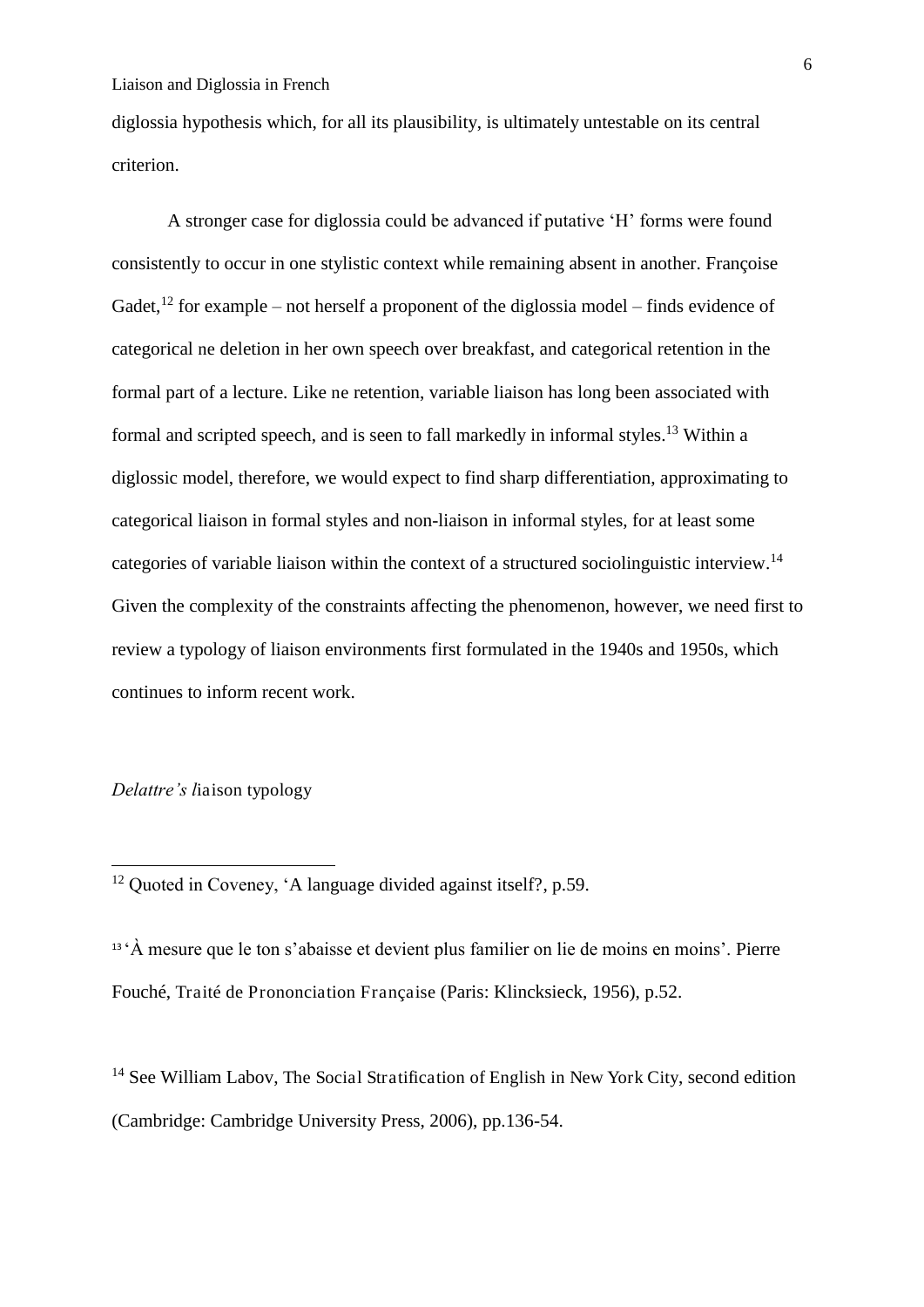diglossia hypothesis which, for all its plausibility, is ultimately untestable on its central criterion.

 A stronger case for diglossia could be advanced if putative 'H' forms were found consistently to occur in one stylistic context while remaining absent in another. Françoise Gadet,<sup>12</sup> for example – not herself a proponent of the diglossia model – finds evidence of categorical ne deletion in her own speech over breakfast, and categorical retention in the formal part of a lecture. Like ne retention, variable liaison has long been associated with formal and scripted speech, and is seen to fall markedly in informal styles.<sup>13</sup> Within a diglossic model, therefore, we would expect to find sharp differentiation, approximating to categorical liaison in formal styles and non-liaison in informal styles, for at least some categories of variable liaison within the context of a structured sociolinguistic interview.<sup>14</sup> Given the complexity of the constraints affecting the phenomenon, however, we need first to review a typology of liaison environments first formulated in the 1940s and 1950s, which continues to inform recent work.

*Delattre's l*iaison typology

-

<sup>12</sup> Ouoted in Coveney, 'A language divided against itself?, p.59.

<sup>13</sup>'À mesure que le ton s'abaisse et devient plus familier on lie de moins en moins'. Pierre Fouché, Traité de Prononciation Française (Paris: Klincksieck, 1956), p.52.

<sup>14</sup> See William Labov, The Social Stratification of English in New York City, second edition (Cambridge: Cambridge University Press, 2006), pp.136-54.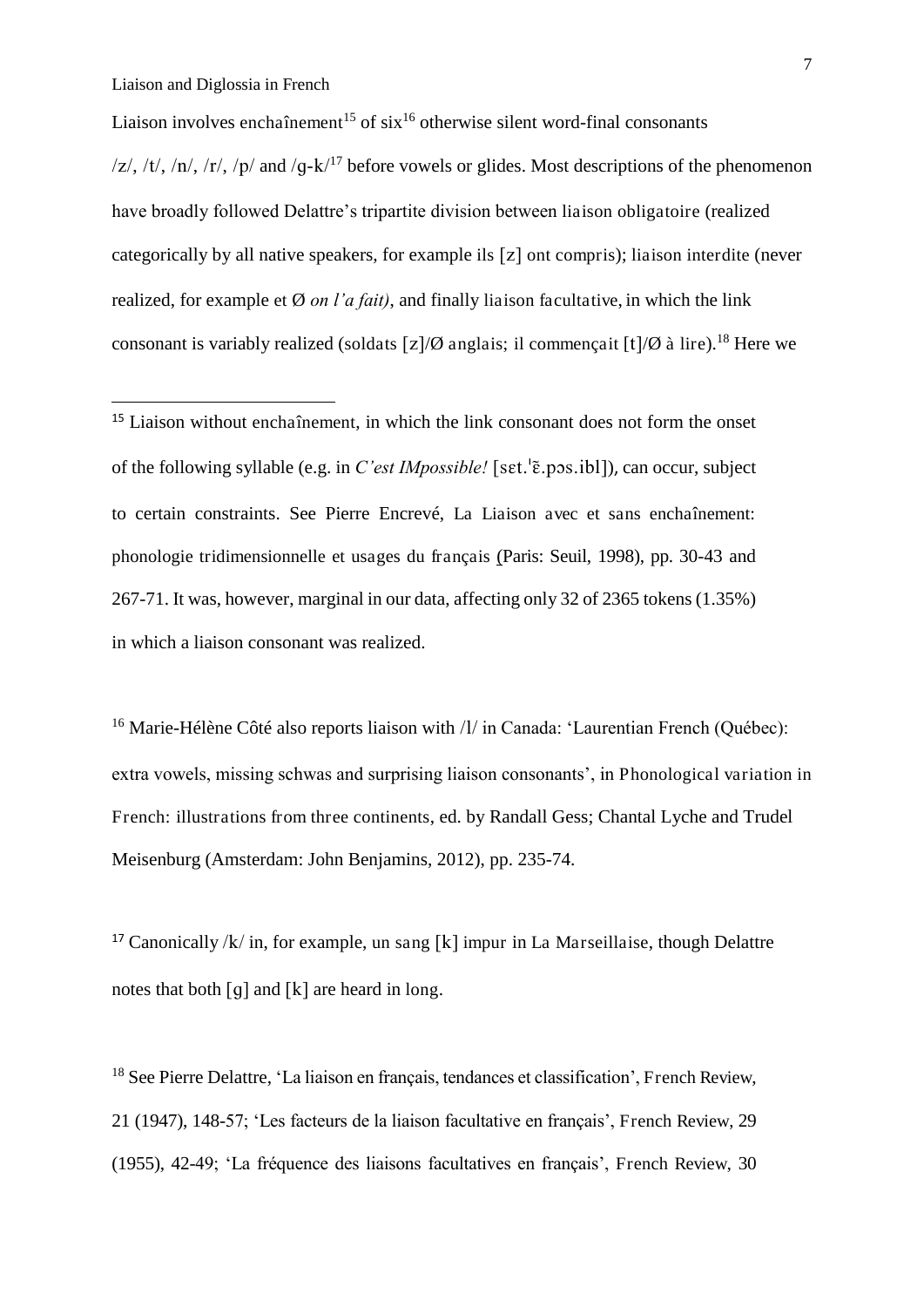<u>.</u>

Liaison involves enchaînement<sup>15</sup> of six<sup>16</sup> otherwise silent word-final consonants  $|z|$ , /t/, /n/, /r/, /p/ and /q-k/<sup>17</sup> before vowels or glides. Most descriptions of the phenomenon have broadly followed Delattre's tripartite division between liaison obligatoire (realized categorically by all native speakers, for example ils  $[z]$  ont compris); liaison interdite (never realized, for example et Ø *on l'a fait)*, and finally liaison facultative, in which the link consonant is variably realized (soldats  $\lceil z \rceil/\emptyset$  anglais; il commençait  $\lceil t \rceil/\emptyset$  à lire).<sup>18</sup> Here we

<sup>15</sup> Liaison without enchaînement, in which the link consonant does not form the onset of the following syllable (e.g. in *C'est IMpossible!* [set.<sup>1</sup> E.p. ps. 1 b]]), can occur, subject to certain constraints. See Pierre Encrevé, La Liaison avec et sans enchaînement: phonologie tridimensionnelle et usages du français (Paris: Seuil, 1998), pp. 30-43 and 267-71. It was, however, marginal in our data, affecting only 32 of 2365 tokens (1.35%) in which a liaison consonant was realized.

<sup>16</sup> Marie-Hélène Côté also reports liaison with  $/$ l in Canada: 'Laurentian French (Québec): extra vowels, missing schwas and surprising liaison consonants', in Phonological variation in French: illustrations from three continents, ed. by Randall Gess; Chantal Lyche and Trudel Meisenburg (Amsterdam: John Benjamins, 2012), pp. 235-74.

<sup>17</sup> Canonically / $k$  in, for example, un sang [ $k$ ] impur in La Marseillaise, though Delattre notes that both  $\lceil q \rceil$  and  $\lceil k \rceil$  are heard in long.

<sup>18</sup> See Pierre Delattre, 'La liaison en français, tendances et classification', French Review, 21 (1947), 148-57; 'Les facteurs de la liaison facultative en français', French Review, 29 (1955), 42-49; 'La fréquence des liaisons facultatives en français', French Review, 30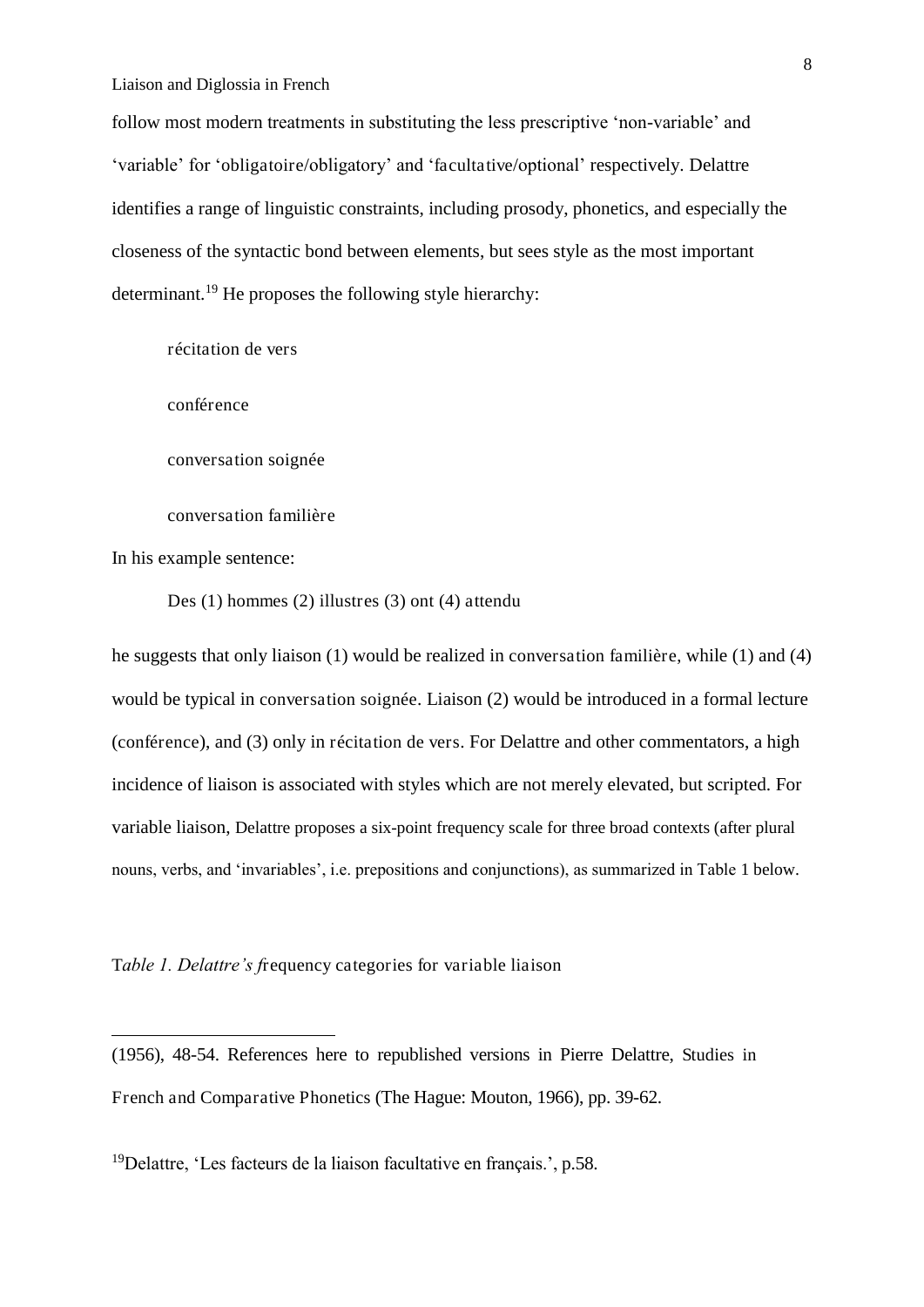follow most modern treatments in substituting the less prescriptive 'non-variable' and 'variable' for 'obligatoire/obligatory' and 'facultative/optional' respectively. Delattre identifies a range of linguistic constraints, including prosody, phonetics, and especially the closeness of the syntactic bond between elements, but sees style as the most important determinant.<sup>19</sup> He proposes the following style hierarchy:

récitation de vers

conférence

conversation soignée

conversation familière

In his example sentence:

-

Des (1) hommes (2) illustres (3) ont (4) attendu

he suggests that only liaison (1) would be realized in conversation familière, while (1) and (4) would be typical in conversation soignée. Liaison (2) would be introduced in a formal lecture (conférence), and (3) only in récitation de vers. For Delattre and other commentators, a high incidence of liaison is associated with styles which are not merely elevated, but scripted. For variable liaison, Delattre proposes a six-point frequency scale for three broad contexts (after plural nouns, verbs, and 'invariables', i.e. prepositions and conjunctions), as summarized in Table 1 below.

T*able 1. Delattre's f*requency categories for variable liaison

(1956), 48-54. References here to republished versions in Pierre Delattre, Studies in French and Comparative Phonetics (The Hague: Mouton, 1966), pp. 39-62.

<sup>19</sup>Delattre, 'Les facteurs de la liaison facultative en français.', p.58.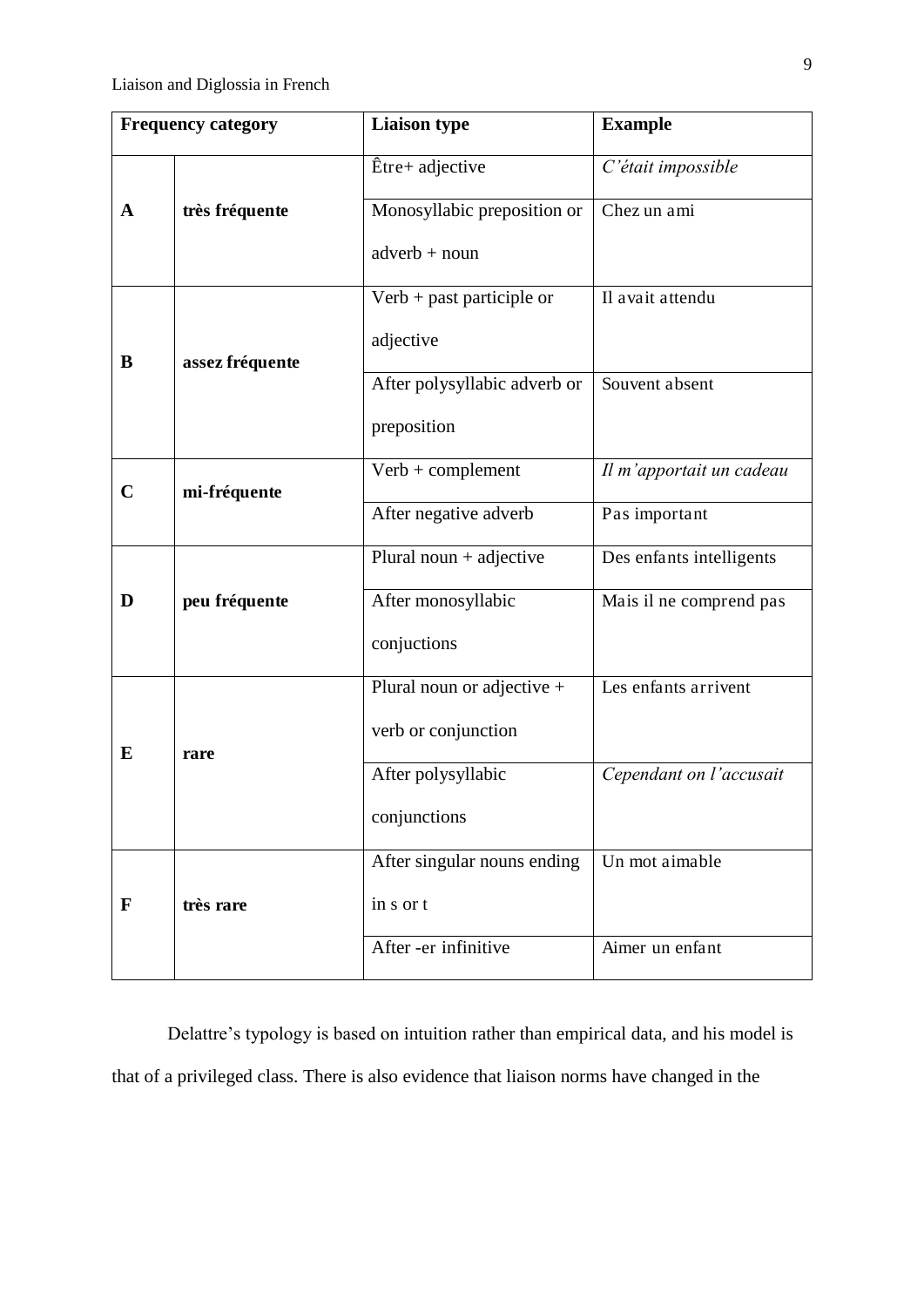|                             | <b>Frequency category</b> | <b>Liaison type</b>          | <b>Example</b>           |  |  |
|-----------------------------|---------------------------|------------------------------|--------------------------|--|--|
|                             |                           | Être+ adjective              | C'était impossible       |  |  |
| A                           | très fréquente            | Monosyllabic preposition or  | Chez un ami              |  |  |
|                             |                           | $adverb + noun$              |                          |  |  |
|                             |                           | $Verb + past$ participle or  | Il avait attendu         |  |  |
| B                           | assez fréquente           | adjective                    |                          |  |  |
|                             |                           | After polysyllabic adverb or | Souvent absent           |  |  |
|                             |                           | preposition                  |                          |  |  |
| $\mathbf C$<br>mi-fréquente |                           | $Verb + complement$          | Il m'apportait un cadeau |  |  |
|                             |                           | After negative adverb        | Pas important            |  |  |
|                             |                           | Plural noun $+$ adjective    | Des enfants intelligents |  |  |
| D                           | peu fréquente             | After monosyllabic           | Mais il ne comprend pas  |  |  |
|                             |                           | conjuctions                  |                          |  |  |
|                             |                           | Plural noun or adjective $+$ | Les enfants arrivent     |  |  |
| E                           | rare                      | verb or conjunction          |                          |  |  |
|                             |                           | After polysyllabic           | Cependant on l'accusait  |  |  |
|                             |                           | conjunctions                 |                          |  |  |
|                             |                           | After singular nouns ending  | Un mot aimable           |  |  |
| F                           | très rare                 | in s or t                    |                          |  |  |
|                             |                           | After -er infinitive         | Aimer un enfant          |  |  |

Delattre's typology is based on intuition rather than empirical data, and his model is that of a privileged class. There is also evidence that liaison norms have changed in the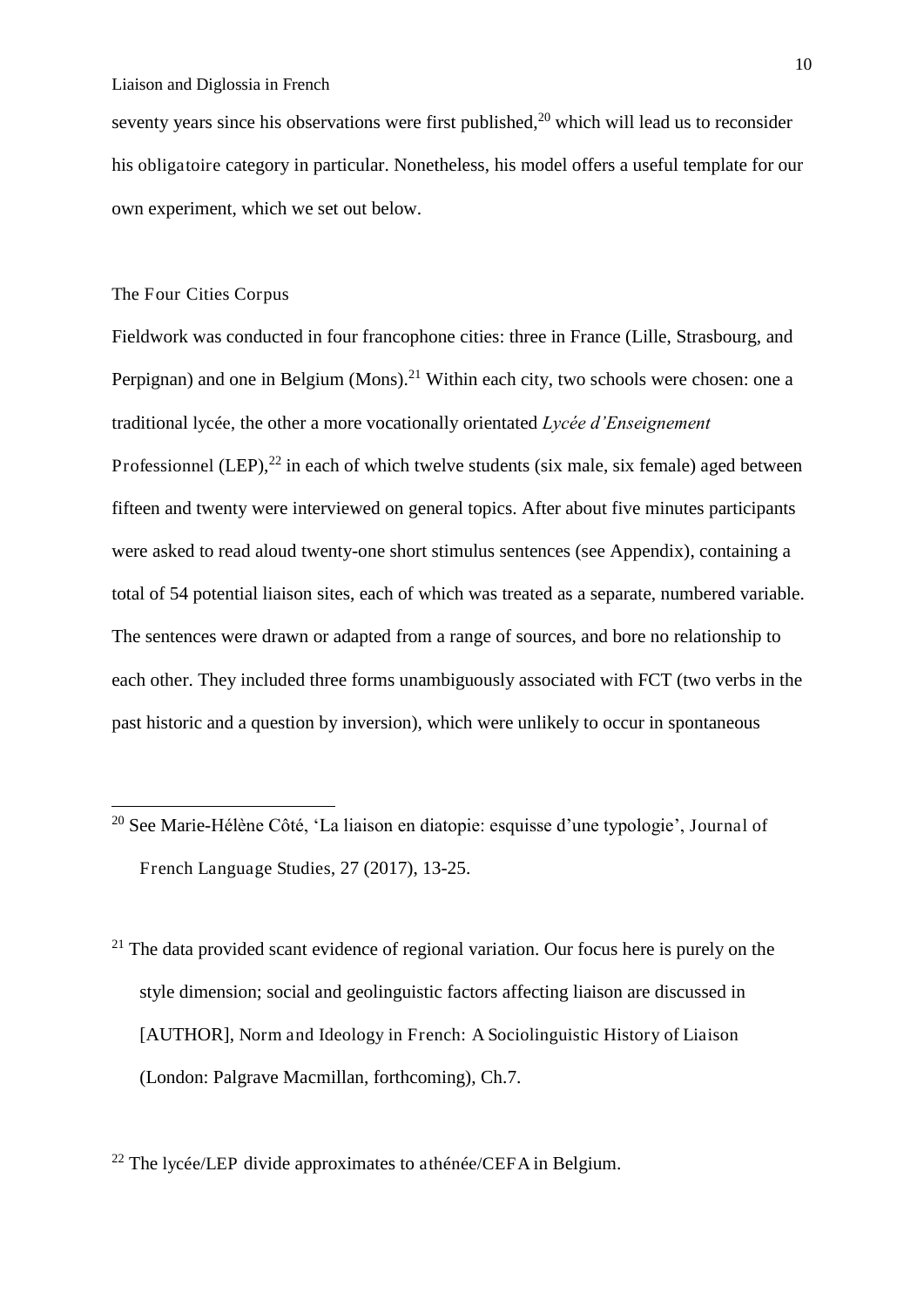seventy years since his observations were first published, $2<sup>0</sup>$  which will lead us to reconsider his obligatoire category in particular. Nonetheless, his model offers a useful template for our own experiment, which we set out below.

### The Four Cities Corpus

.<br>-

Fieldwork was conducted in four francophone cities: three in France (Lille, Strasbourg, and Perpignan) and one in Belgium (Mons).<sup>21</sup> Within each city, two schools were chosen: one a traditional lycée, the other a more vocationally orientated *Lycée d'Enseignement*  Professionnel (LEP), $^{22}$  in each of which twelve students (six male, six female) aged between fifteen and twenty were interviewed on general topics. After about five minutes participants were asked to read aloud twenty-one short stimulus sentences (see Appendix), containing a total of 54 potential liaison sites, each of which was treated as a separate, numbered variable. The sentences were drawn or adapted from a range of sources, and bore no relationship to each other. They included three forms unambiguously associated with FCT (two verbs in the past historic and a question by inversion), which were unlikely to occur in spontaneous

- <sup>20</sup> See Marie-Hélène Côté, 'La liaison en diatopie: esquisse d'une typologie', Journal of French Language Studies, 27 (2017), 13-25.
- $21$  The data provided scant evidence of regional variation. Our focus here is purely on the style dimension; social and geolinguistic factors affecting liaison are discussed in [AUTHOR], Norm and Ideology in French: A Sociolinguistic History of Liaison (London: Palgrave Macmillan, forthcoming), Ch.7.

<sup>22</sup> The lycée/LEP divide approximates to athénée/CEFA in Belgium.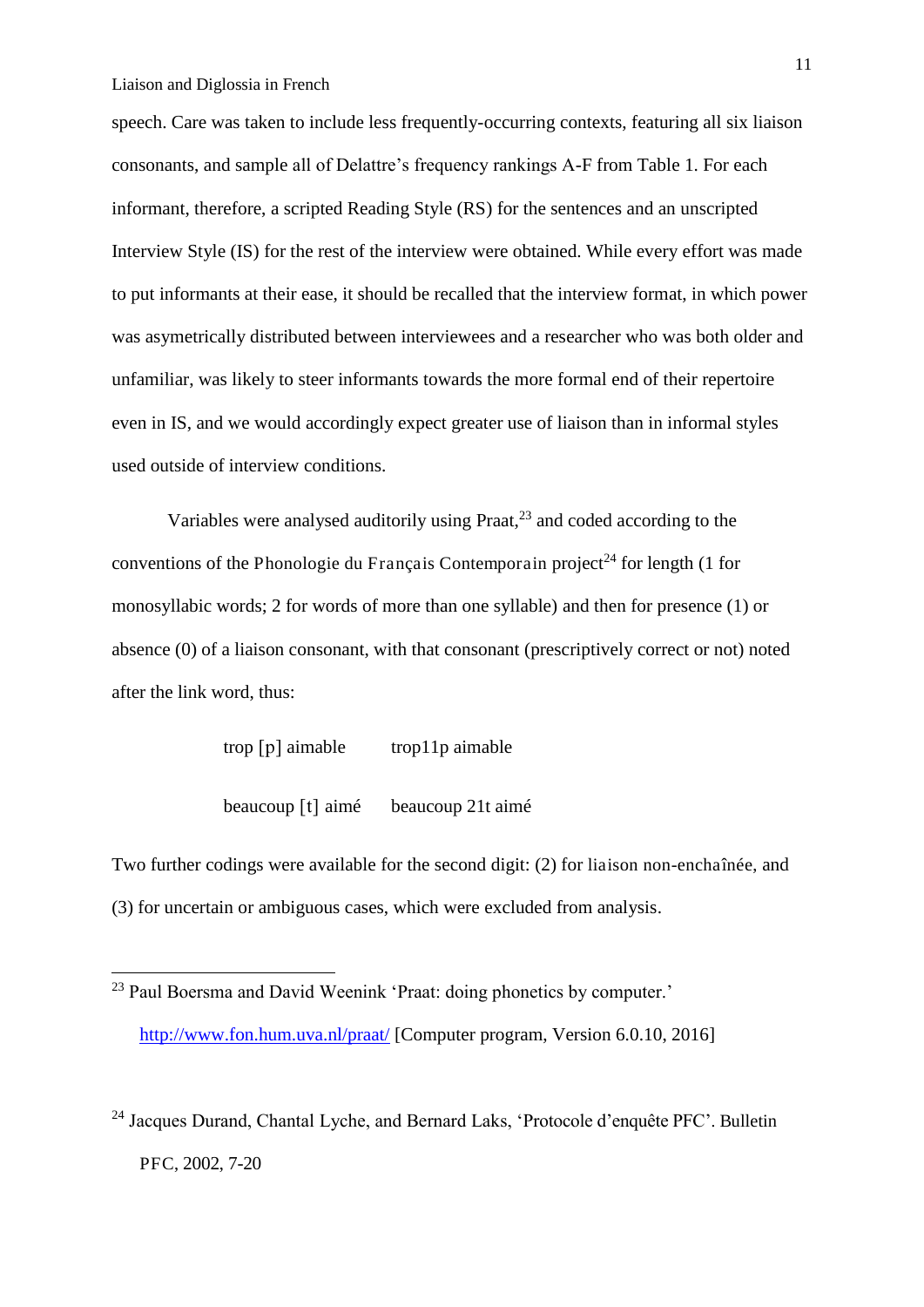<u>.</u>

speech. Care was taken to include less frequently-occurring contexts, featuring all six liaison consonants, and sample all of Delattre's frequency rankings A-F from Table 1. For each informant, therefore, a scripted Reading Style (RS) for the sentences and an unscripted Interview Style (IS) for the rest of the interview were obtained. While every effort was made to put informants at their ease, it should be recalled that the interview format, in which power was asymetrically distributed between interviewees and a researcher who was both older and unfamiliar, was likely to steer informants towards the more formal end of their repertoire even in IS, and we would accordingly expect greater use of liaison than in informal styles used outside of interview conditions.

Variables were analysed auditorily using Praat, $^{23}$  and coded according to the conventions of the Phonologie du Français Contemporain project<sup>24</sup> for length (1 for monosyllabic words; 2 for words of more than one syllable) and then for presence (1) or absence (0) of a liaison consonant, with that consonant (prescriptively correct or not) noted after the link word, thus:

| trop $[p]$ aimable  | trop11p aimable   |
|---------------------|-------------------|
| beaucoup $[t]$ aimé | beaucoup 21t aimé |

Two further codings were available for the second digit: (2) for liaison non-enchaînée, and (3) for uncertain or ambiguous cases, which were excluded from analysis.

<sup>&</sup>lt;sup>23</sup> Paul Boersma and David Weenink 'Praat: doing phonetics by computer.' <http://www.fon.hum.uva.nl/praat/>[Computer program, Version 6.0.10, 2016]

<sup>24</sup> Jacques Durand, Chantal Lyche, and Bernard Laks, 'Protocole d'enquête PFC'. Bulletin PFC, 2002, 7-20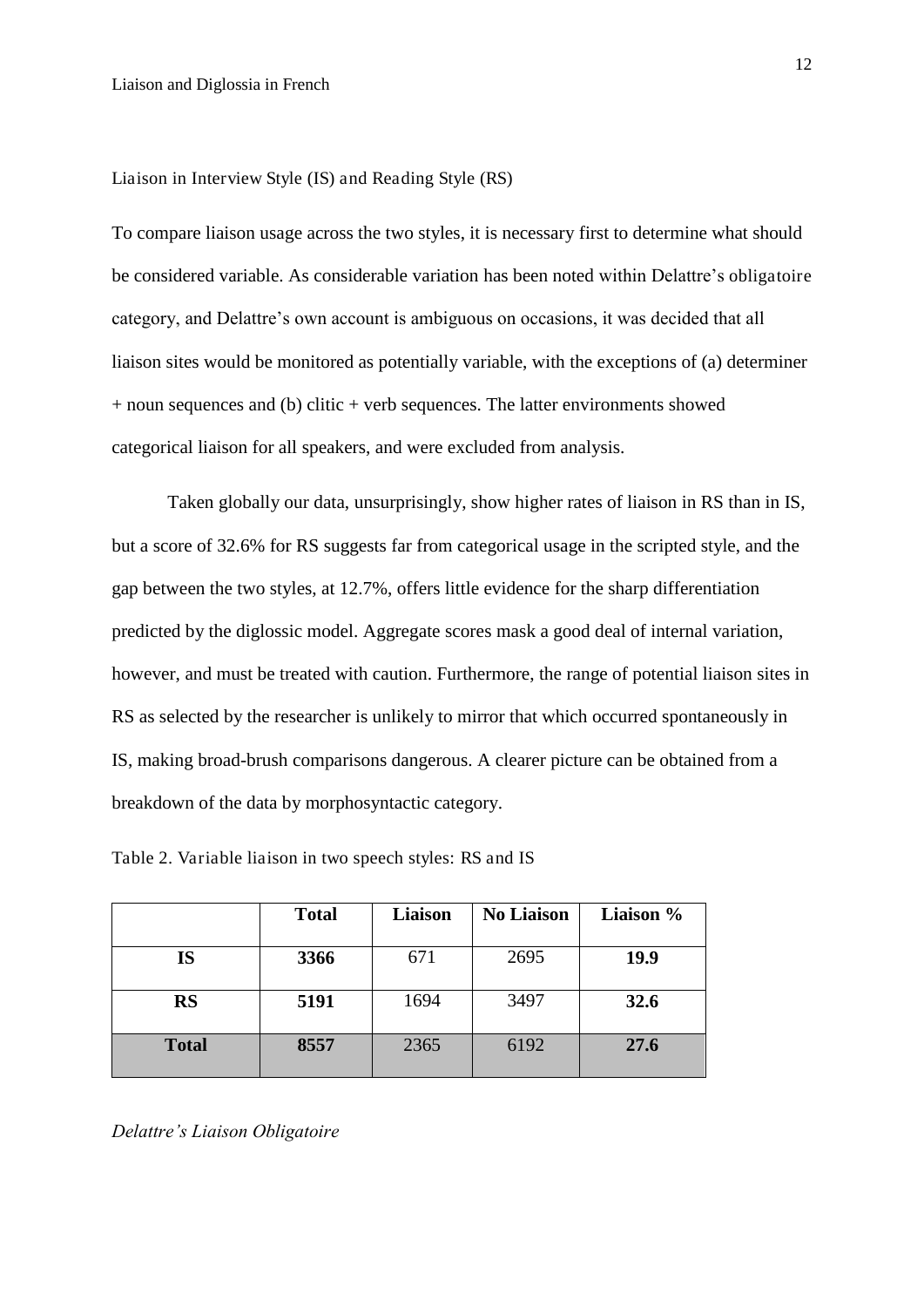Liaison in Interview Style (IS) and Reading Style (RS)

To compare liaison usage across the two styles, it is necessary first to determine what should be considered variable. As considerable variation has been noted within Delattre's obligatoire category, and Delattre's own account is ambiguous on occasions, it was decided that all liaison sites would be monitored as potentially variable, with the exceptions of (a) determiner + noun sequences and (b) clitic + verb sequences. The latter environments showed categorical liaison for all speakers, and were excluded from analysis.

Taken globally our data, unsurprisingly, show higher rates of liaison in RS than in IS, but a score of 32.6% for RS suggests far from categorical usage in the scripted style, and the gap between the two styles, at 12.7%, offers little evidence for the sharp differentiation predicted by the diglossic model. Aggregate scores mask a good deal of internal variation, however, and must be treated with caution. Furthermore, the range of potential liaison sites in RS as selected by the researcher is unlikely to mirror that which occurred spontaneously in IS, making broad-brush comparisons dangerous. A clearer picture can be obtained from a breakdown of the data by morphosyntactic category.

|              | <b>Total</b> | <b>Liaison</b> | <b>No Liaison</b> | Liaison %   |
|--------------|--------------|----------------|-------------------|-------------|
| <b>IS</b>    | 3366         | 671            | 2695              | <b>19.9</b> |
| <b>RS</b>    | 5191         | 1694           | 3497              | 32.6        |
| <b>Total</b> | 8557         | 2365           | 6192              | 27.6        |

Table 2. Variable liaison in two speech styles: RS and IS

*Delattre's Liaison Obligatoire*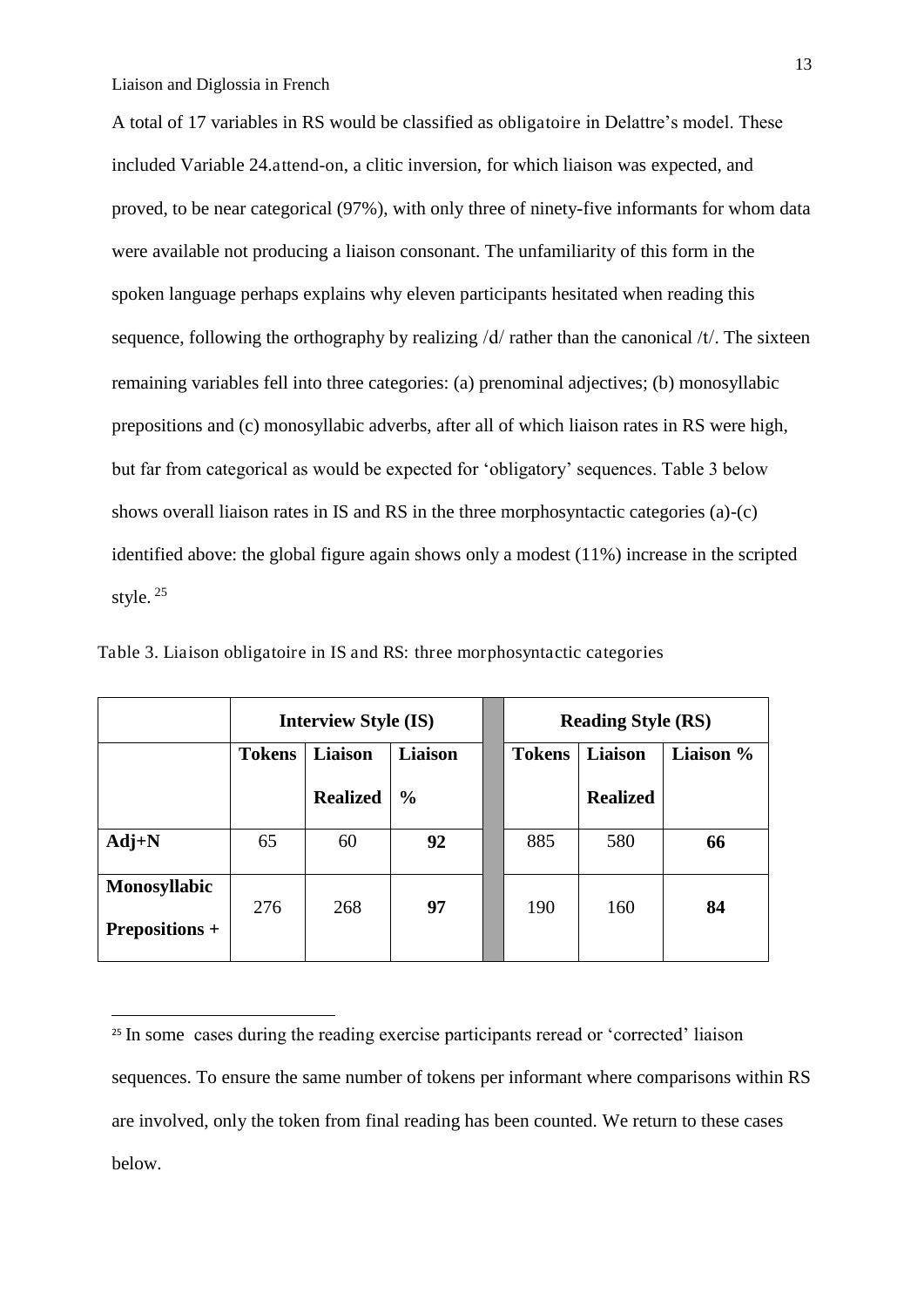-

A total of 17 variables in RS would be classified as obligatoire in Delattre's model. These included Variable 24.attend-on, a clitic inversion, for which liaison was expected, and proved, to be near categorical (97%), with only three of ninety-five informants for whom data were available not producing a liaison consonant. The unfamiliarity of this form in the spoken language perhaps explains why eleven participants hesitated when reading this sequence, following the orthography by realizing  $\frac{d}{dx}$  rather than the canonical  $\frac{d}{dx}$ . The sixteen remaining variables fell into three categories: (a) prenominal adjectives; (b) monosyllabic prepositions and (c) monosyllabic adverbs, after all of which liaison rates in RS were high, but far from categorical as would be expected for 'obligatory' sequences. Table 3 below shows overall liaison rates in IS and RS in the three morphosyntactic categories (a)-(c) identified above: the global figure again shows only a modest (11%) increase in the scripted style. <sup>25</sup>

|                                              | <b>Interview Style (IS)</b> |                 |                | <b>Reading Style (RS)</b> |                 |           |
|----------------------------------------------|-----------------------------|-----------------|----------------|---------------------------|-----------------|-----------|
|                                              | Liaison<br><b>Tokens</b>    |                 | <b>Liaison</b> | Liaison<br><b>Tokens</b>  |                 | Liaison % |
|                                              |                             | <b>Realized</b> | $\frac{6}{6}$  |                           | <b>Realized</b> |           |
| $Adj+N$                                      | 65                          | 60              | 92             | 885                       | 580             | 66        |
| <b>Monosyllabic</b><br><b>Prepositions +</b> | 276                         | 268             | 97             | 190                       | 160             | 84        |

Table 3. Liaison obligatoire in IS and RS: three morphosyntactic categories

<sup>&</sup>lt;sup>25</sup> In some cases during the reading exercise participants reread or 'corrected' liaison sequences. To ensure the same number of tokens per informant where comparisons within RS are involved, only the token from final reading has been counted. We return to these cases below.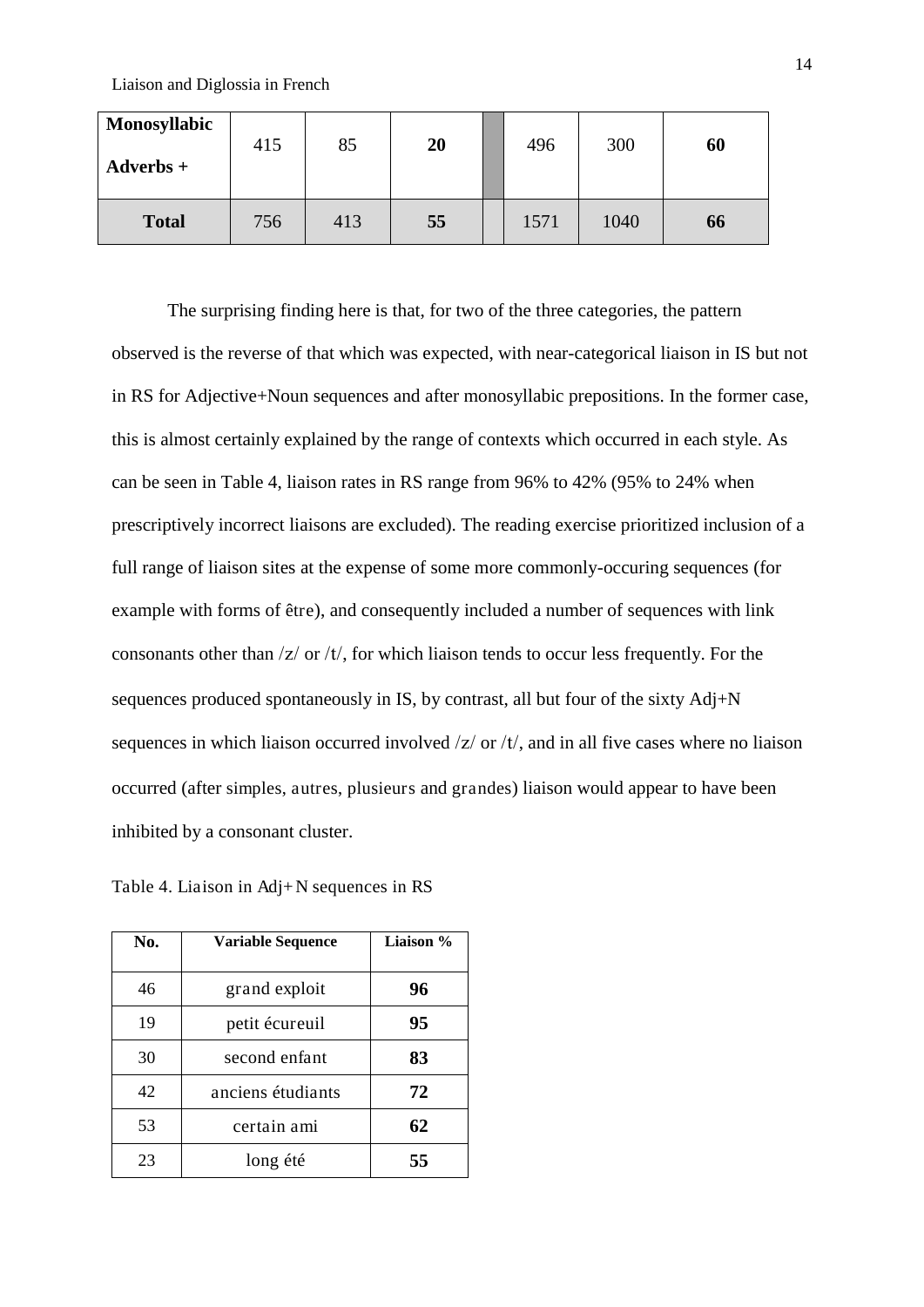| <b>Monosyllabic</b><br>$Adverbs +$ | 415 | 85  | 20 | 496  | 300  | 60 |
|------------------------------------|-----|-----|----|------|------|----|
| <b>Total</b>                       | 756 | 413 | 55 | 1571 | 1040 | 66 |

The surprising finding here is that, for two of the three categories, the pattern observed is the reverse of that which was expected, with near-categorical liaison in IS but not in RS for Adjective+Noun sequences and after monosyllabic prepositions. In the former case, this is almost certainly explained by the range of contexts which occurred in each style. As can be seen in Table 4, liaison rates in RS range from 96% to 42% (95% to 24% when prescriptively incorrect liaisons are excluded). The reading exercise prioritized inclusion of a full range of liaison sites at the expense of some more commonly-occuring sequences (for example with forms of être), and consequently included a number of sequences with link consonants other than  $\frac{z}{\alpha}$  or  $\frac{t}{\alpha}$ , for which liaison tends to occur less frequently. For the sequences produced spontaneously in IS, by contrast, all but four of the sixty Adj+N sequences in which liaison occurred involved  $\frac{z}{r}$  or  $\frac{t}{t}$ , and in all five cases where no liaison occurred (after simples, autres, plusieurs and grandes) liaison would appear to have been inhibited by a consonant cluster.

Table 4. Liaison in Adj+N sequences in RS

| No. | <b>Variable Sequence</b> | Liaison % |
|-----|--------------------------|-----------|
| 46  | grand exploit            | 96        |
| 19  | petit écureuil           | 95        |
| 30  | second enfant            | 83        |
| 42  | anciens étudiants        | 72        |
| 53  | certain ami              | 62        |
| 23  | long été                 | 55        |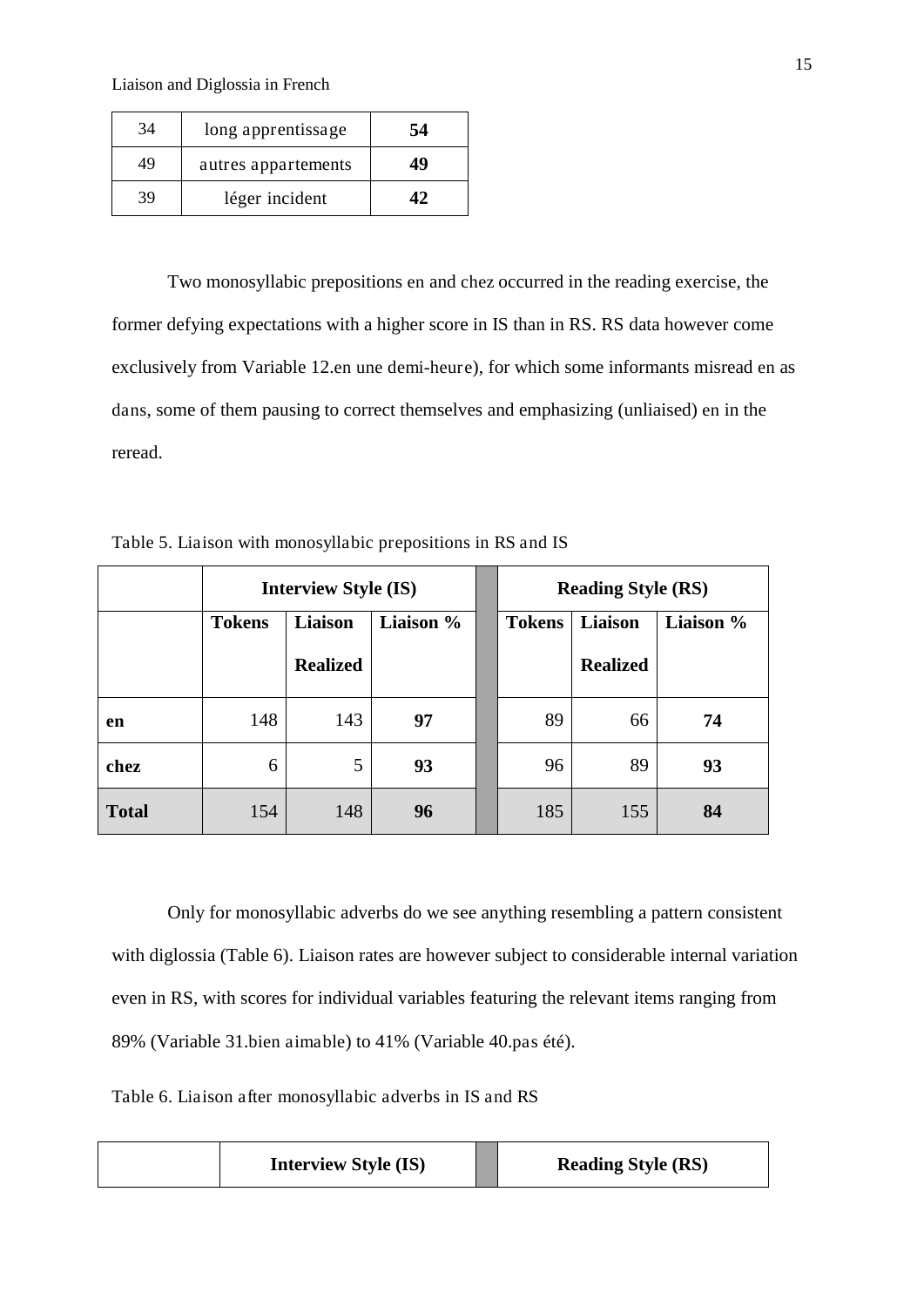| 34 | long apprentissage  | 54 |
|----|---------------------|----|
| 49 | autres appartements | 49 |
| 39 | léger incident      | 17 |

Two monosyllabic prepositions en and chez occurred in the reading exercise, the former defying expectations with a higher score in IS than in RS. RS data however come exclusively from Variable 12.en une demi-heure), for which some informants misread en as dans, some of them pausing to correct themselves and emphasizing (unliaised) en in the reread.

| Table 5. Liaison with monosyllabic prepositions in RS and IS |  |  |  |  |
|--------------------------------------------------------------|--|--|--|--|
|--------------------------------------------------------------|--|--|--|--|

|              | <b>Interview Style (IS)</b> |                 |           |  | <b>Reading Style (RS)</b> |                 |           |
|--------------|-----------------------------|-----------------|-----------|--|---------------------------|-----------------|-----------|
|              | <b>Tokens</b>               | Liaison         | Liaison % |  | <b>Tokens</b>             | Liaison         | Liaison % |
|              |                             | <b>Realized</b> |           |  |                           | <b>Realized</b> |           |
| en           | 148                         | 143             | 97        |  | 89                        | 66              | 74        |
| chez         | 6                           | 5               | 93        |  | 96                        | 89              | 93        |
| <b>Total</b> | 154                         | 148             | 96        |  | 185                       | 155             | 84        |

Only for monosyllabic adverbs do we see anything resembling a pattern consistent with diglossia (Table 6). Liaison rates are however subject to considerable internal variation even in RS, with scores for individual variables featuring the relevant items ranging from 89% (Variable 31.bien aimable) to 41% (Variable 40.pas été).

Table 6. Liaison after monosyllabic adverbs in IS and RS

| <b>Interview Style (IS)</b> | <b>Reading Style (RS)</b> |
|-----------------------------|---------------------------|
|-----------------------------|---------------------------|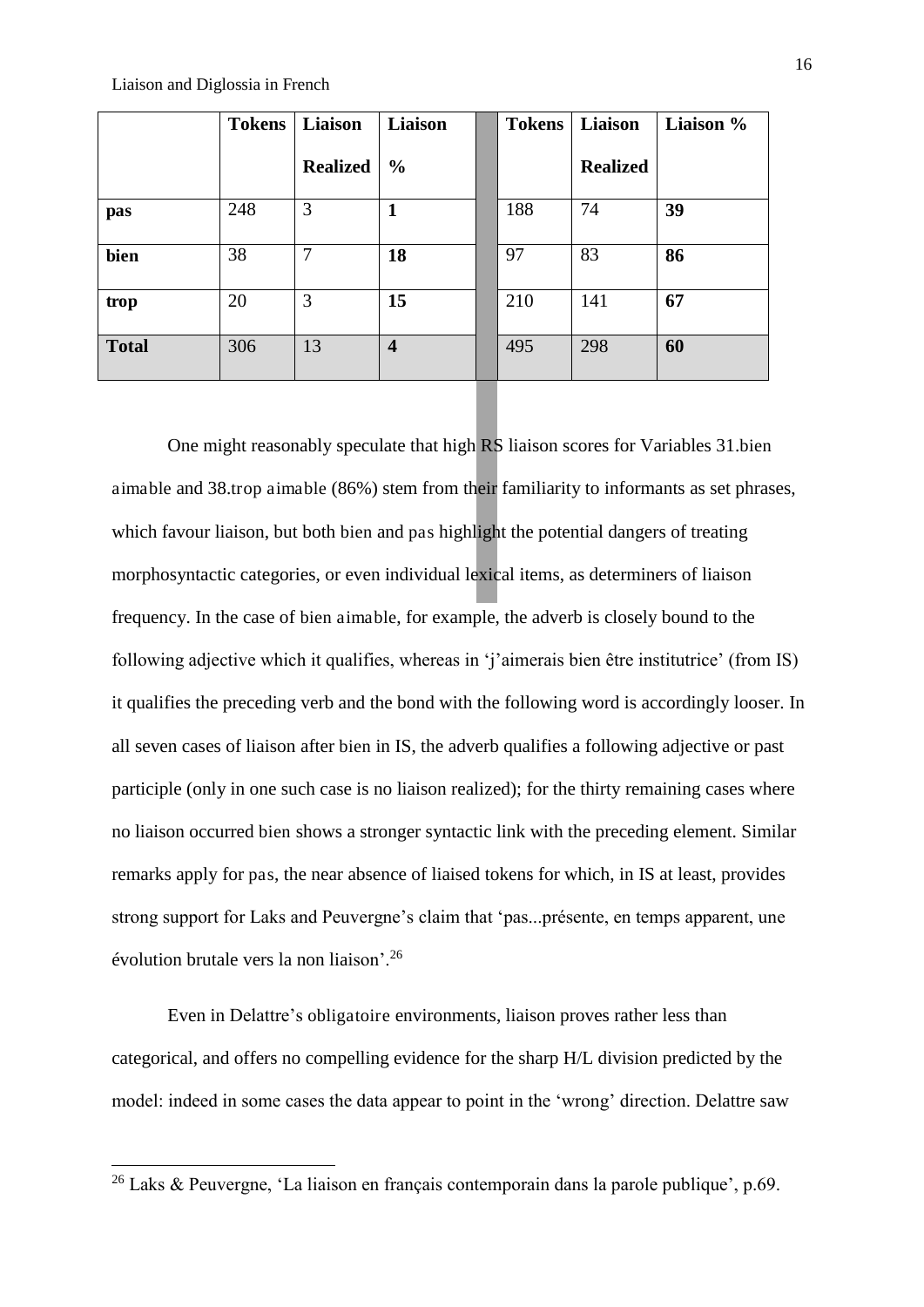-

|              | <b>Tokens</b> | Liaison         | Liaison          | <b>Tokens</b> | Liaison         | Liaison % |
|--------------|---------------|-----------------|------------------|---------------|-----------------|-----------|
|              |               | <b>Realized</b> | $\frac{0}{0}$    |               | <b>Realized</b> |           |
| pas          | 248           | 3               |                  | 188           | 74              | 39        |
| bien         | 38            | 7               | 18               | 97            | 83              | 86        |
| trop         | 20            | 3               | 15               | 210           | 141             | 67        |
| <b>Total</b> | 306           | 13              | $\boldsymbol{4}$ | 495           | 298             | 60        |

One might reasonably speculate that high RS liaison scores for Variables 31.bien aimable and 38.trop aimable (86%) stem from their familiarity to informants as set phrases, which favour liaison, but both bien and pas highlight the potential dangers of treating morphosyntactic categories, or even individual lexical items, as determiners of liaison frequency. In the case of bien aimable, for example, the adverb is closely bound to the following adjective which it qualifies, whereas in 'j'aimerais bien être institutrice' (from IS) it qualifies the preceding verb and the bond with the following word is accordingly looser. In all seven cases of liaison after bien in IS, the adverb qualifies a following adjective or past participle (only in one such case is no liaison realized); for the thirty remaining cases where no liaison occurred bien shows a stronger syntactic link with the preceding element. Similar remarks apply for pas, the near absence of liaised tokens for which, in IS at least, provides strong support for Laks and Peuvergne's claim that 'pas...présente, en temps apparent, une évolution brutale vers la non liaison'.<sup>26</sup>

Even in Delattre's obligatoire environments, liaison proves rather less than categorical, and offers no compelling evidence for the sharp H/L division predicted by the model: indeed in some cases the data appear to point in the 'wrong' direction. Delattre saw

<sup>&</sup>lt;sup>26</sup> Laks & Peuvergne, 'La liaison en français contemporain dans la parole publique', p.69.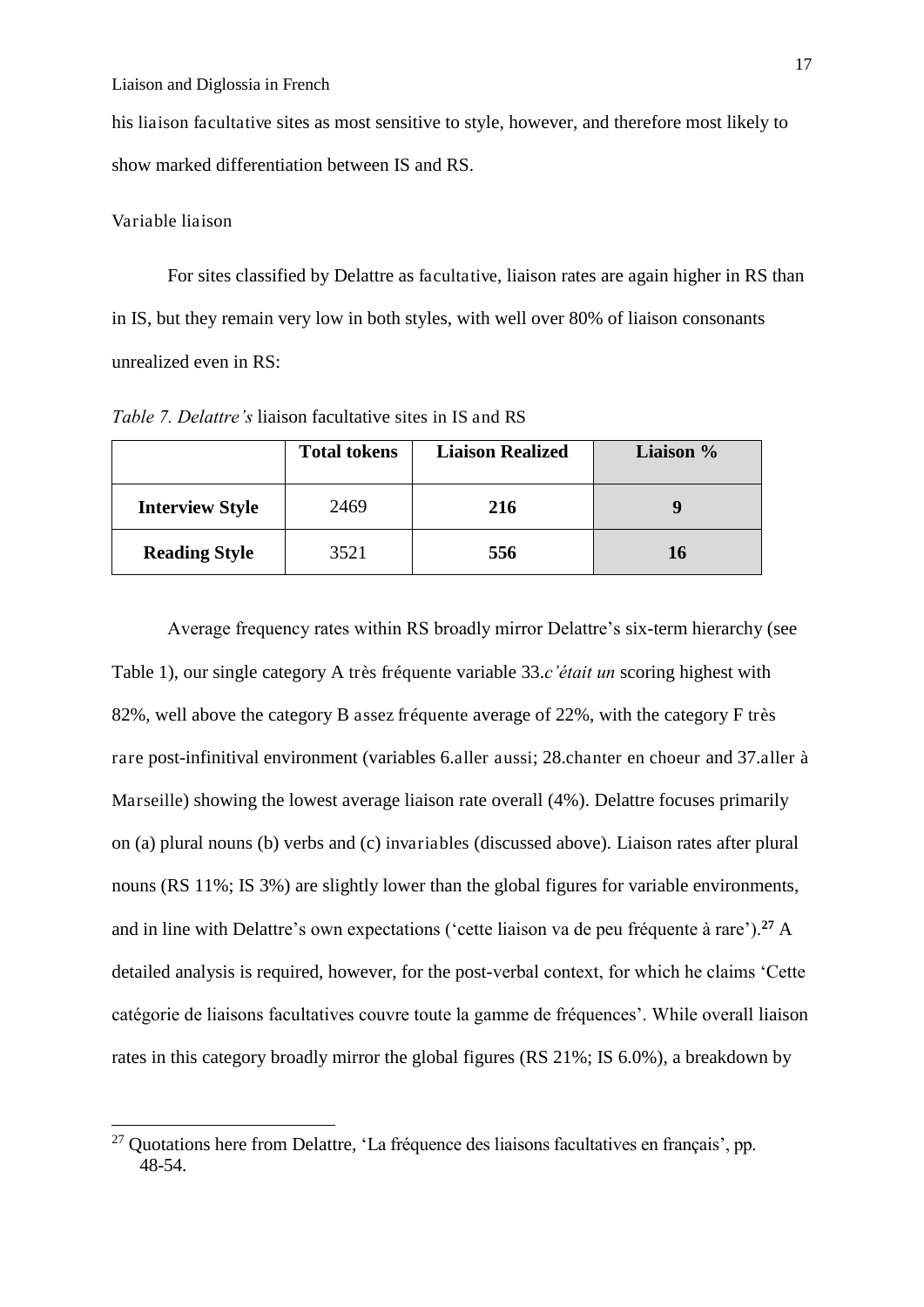his liaison facultative sites as most sensitive to style, however, and therefore most likely to show marked differentiation between IS and RS.

# Variable liaison

<u>.</u>

For sites classified by Delattre as facultative, liaison rates are again higher in RS than in IS, but they remain very low in both styles, with well over 80% of liaison consonants unrealized even in RS:

*Table 7. Delattre's* liaison facultative sites in IS and RS

|                        | <b>Total tokens</b> | <b>Liaison Realized</b> | Liaison % |
|------------------------|---------------------|-------------------------|-----------|
| <b>Interview Style</b> | 2469                | 216                     |           |
| <b>Reading Style</b>   | 3521                | 556                     | 16        |

Average frequency rates within RS broadly mirror Delattre's six-term hierarchy (see Table 1), our single category A très fréquente variable 33.*c'était un* scoring highest with 82%, well above the category B assez fréquente average of 22%, with the category F très rare post-infinitival environment (variables 6.aller aussi; 28.chanter en choeur and 37.aller à Marseille) showing the lowest average liaison rate overall (4%). Delattre focuses primarily on (a) plural nouns (b) verbs and (c) invariables (discussed above). Liaison rates after plural nouns (RS 11%; IS 3%) are slightly lower than the global figures for variable environments, and in line with Delattre's own expectations ('cette liaison va de peu fréquente à rare').**<sup>27</sup>** A detailed analysis is required, however, for the post-verbal context, for which he claims 'Cette catégorie de liaisons facultatives couvre toute la gamme de fréquences'. While overall liaison rates in this category broadly mirror the global figures (RS 21%; IS 6.0%), a breakdown by

 $27$  Quotations here from Delattre, 'La fréquence des liaisons facultatives en français', pp. 48-54.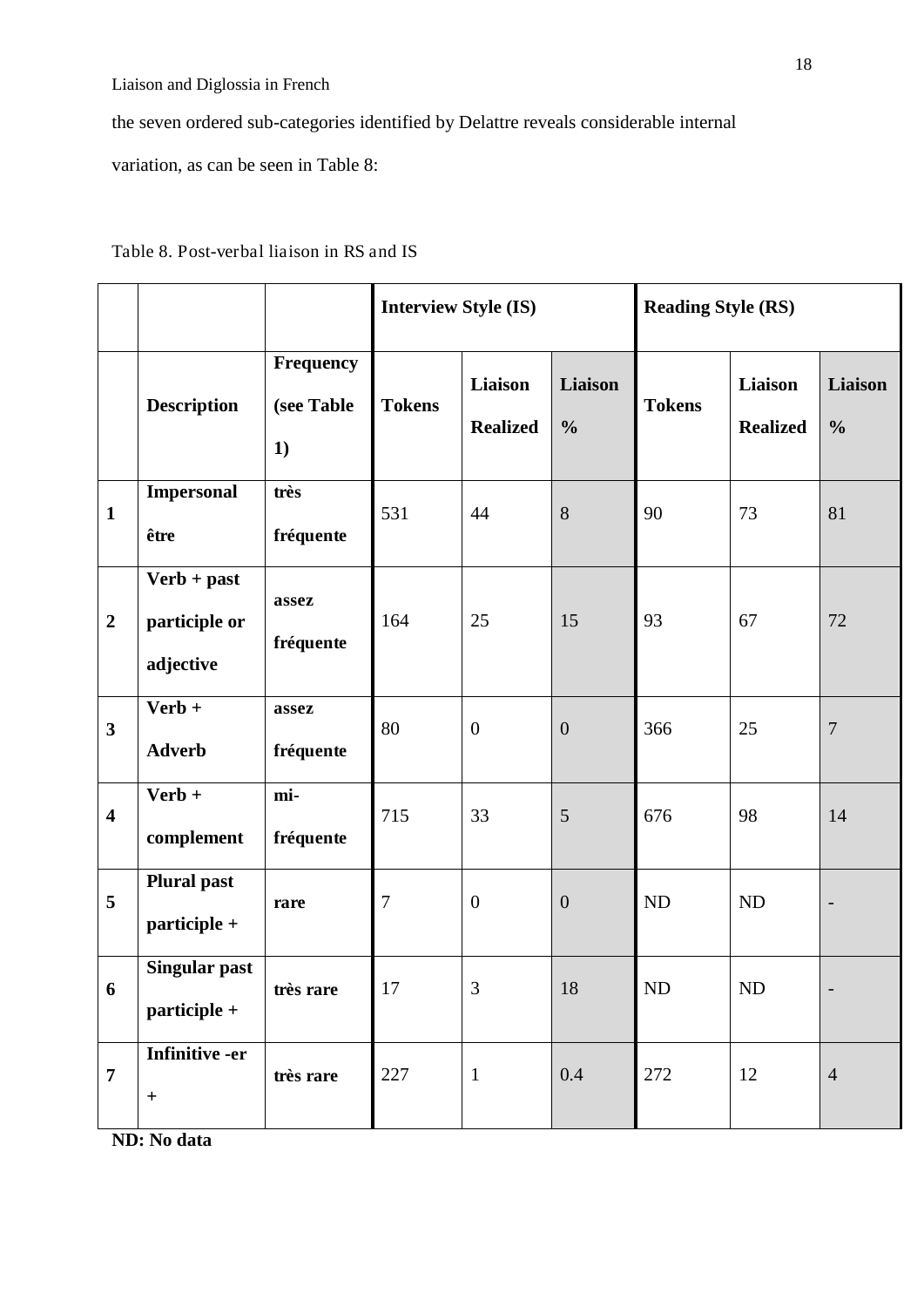the seven ordered sub-categories identified by Delattre reveals considerable internal

variation, as can be seen in Table 8:

|                         |                                             |                               | <b>Interview Style (IS)</b> |                            |                          | <b>Reading Style (RS)</b> |                            |                          |
|-------------------------|---------------------------------------------|-------------------------------|-----------------------------|----------------------------|--------------------------|---------------------------|----------------------------|--------------------------|
|                         | <b>Description</b>                          | Frequency<br>(see Table<br>1) | <b>Tokens</b>               | Liaison<br><b>Realized</b> | Liaison<br>$\frac{0}{0}$ | <b>Tokens</b>             | Liaison<br><b>Realized</b> | Liaison<br>$\frac{0}{0}$ |
| $\mathbf{1}$            | <b>Impersonal</b><br>être                   | très<br>fréquente             | 531                         | 44                         | 8                        | 90                        | 73                         | 81                       |
| $\overline{2}$          | $Verb + past$<br>participle or<br>adjective | assez<br>fréquente            | 164                         | 25                         | 15                       | 93                        | 67                         | 72                       |
| $\mathbf{3}$            | $Verb +$<br><b>Adverb</b>                   | assez<br>fréquente            | 80                          | $\overline{0}$             | $\boldsymbol{0}$         | 366                       | 25                         | $\boldsymbol{7}$         |
| $\overline{\mathbf{4}}$ | $Verb +$<br>complement                      | mi-<br>fréquente              | 715                         | 33                         | 5                        | 676                       | 98                         | 14                       |
| 5                       | <b>Plural past</b><br>participle +          | rare                          | $\overline{7}$              | $\boldsymbol{0}$           | $\boldsymbol{0}$         | ND                        | ND                         |                          |
| 6                       | <b>Singular past</b><br>participle +        | très rare                     | 17                          | 3                          | 18                       | ND                        | $\rm ND$                   |                          |
| $\overline{7}$          | <b>Infinitive -er</b><br>$\ddag$            | très rare                     | 227                         | $\mathbf{1}$               | 0.4                      | 272                       | 12                         | $\overline{4}$           |

# Table 8. Post-verbal liaison in RS and IS

**ND: No data**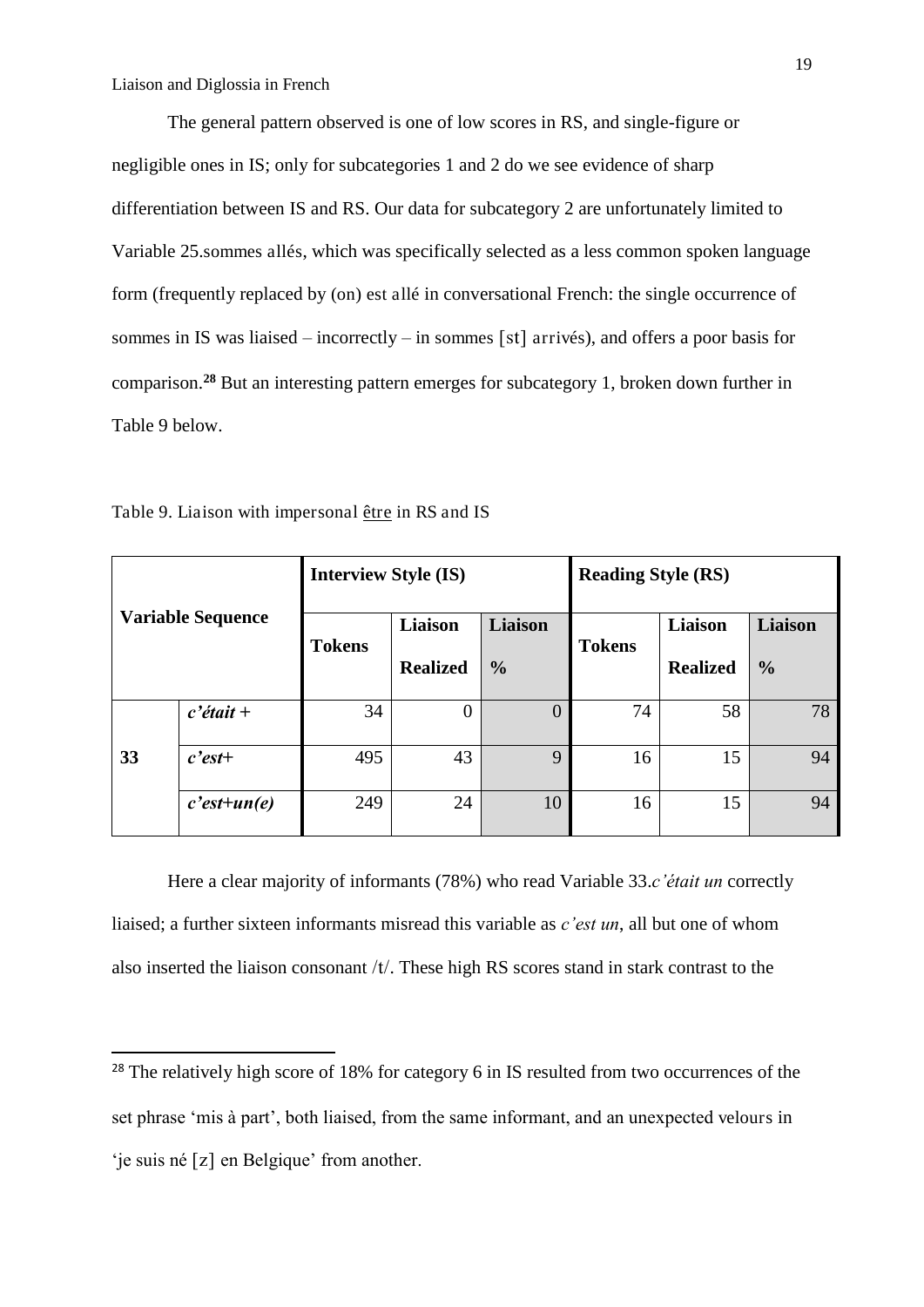The general pattern observed is one of low scores in RS, and single-figure or negligible ones in IS; only for subcategories 1 and 2 do we see evidence of sharp differentiation between IS and RS. Our data for subcategory 2 are unfortunately limited to Variable 25.sommes allés, which was specifically selected as a less common spoken language form (frequently replaced by (on) est allé in conversational French: the single occurrence of sommes in IS was liaised – incorrectly – in sommes [st] arrivés), and offers a poor basis for comparison.**<sup>28</sup>** But an interesting pattern emerges for subcategory 1, broken down further in Table 9 below.

| <b>Variable Sequence</b> |                | <b>Interview Style (IS)</b> |                 |                | <b>Reading Style (RS)</b> |                 |                |  |
|--------------------------|----------------|-----------------------------|-----------------|----------------|---------------------------|-----------------|----------------|--|
|                          |                | <b>Tokens</b>               | Liaison         | <b>Liaison</b> | <b>Tokens</b>             | Liaison         | <b>Liaison</b> |  |
|                          |                |                             | <b>Realized</b> | $\frac{0}{0}$  |                           | <b>Realized</b> | $\frac{0}{0}$  |  |
|                          | $c'$ était +   | 34                          | $\theta$        | $\overline{0}$ | 74                        | 58              | 78             |  |
| 33                       | $c$ 'est+      | 495                         | 43              | 9              | 16                        | 15              | 94             |  |
|                          | $c$ 'est+un(e) | 249                         | 24              | 10             | 16                        | 15              | 94             |  |

Table 9. Liaison with impersonal être in RS and IS

<u>.</u>

 Here a clear majority of informants (78%) who read Variable 33.*c'était un* correctly liaised; a further sixteen informants misread this variable as *c'est un*, all but one of whom also inserted the liaison consonant  $/t$ . These high RS scores stand in stark contrast to the

<sup>&</sup>lt;sup>28</sup> The relatively high score of 18% for category 6 in IS resulted from two occurrences of the set phrase 'mis à part', both liaised, from the same informant, and an unexpected velours in 'je suis né  $[z]$  en Belgique' from another.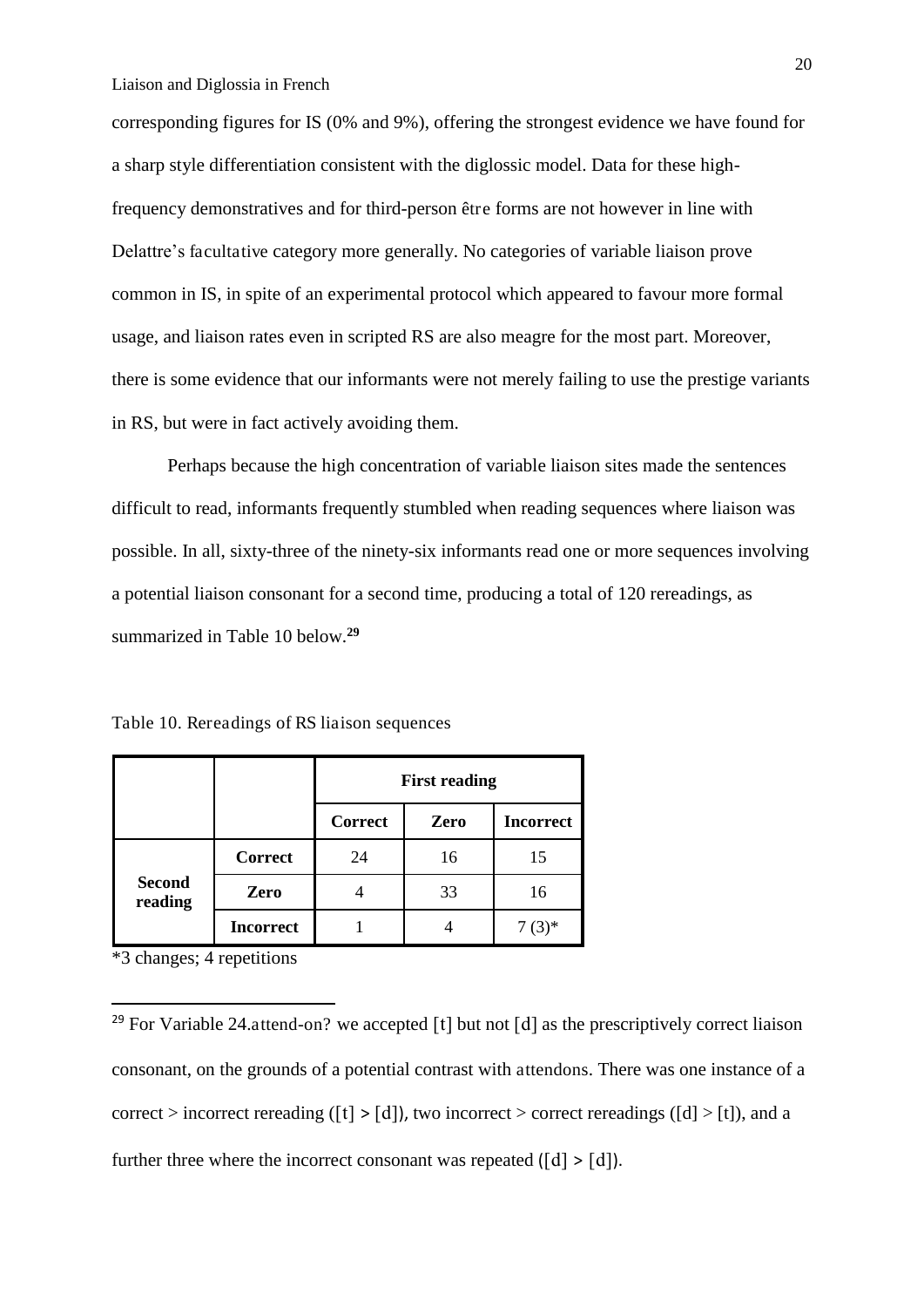corresponding figures for IS (0% and 9%), offering the strongest evidence we have found for a sharp style differentiation consistent with the diglossic model. Data for these highfrequency demonstratives and for third-person être forms are not however in line with Delattre's facultative category more generally. No categories of variable liaison prove common in IS, in spite of an experimental protocol which appeared to favour more formal usage, and liaison rates even in scripted RS are also meagre for the most part. Moreover, there is some evidence that our informants were not merely failing to use the prestige variants in RS, but were in fact actively avoiding them.

 Perhaps because the high concentration of variable liaison sites made the sentences difficult to read, informants frequently stumbled when reading sequences where liaison was possible. In all, sixty-three of the ninety-six informants read one or more sequences involving a potential liaison consonant for a second time, producing a total of 120 rereadings, as summarized in Table 10 below.**<sup>29</sup>**

Table 10. Rereadings of RS liaison sequences

|                          |                  | <b>First reading</b> |      |                  |  |  |
|--------------------------|------------------|----------------------|------|------------------|--|--|
|                          |                  | <b>Correct</b>       | Zero | <b>Incorrect</b> |  |  |
|                          | <b>Correct</b>   | 24                   | 16   | 15               |  |  |
| <b>Second</b><br>reading | Zero             |                      | 33   | 16               |  |  |
|                          | <b>Incorrect</b> |                      |      |                  |  |  |

\*3 changes; 4 repetitions

-

<sup>&</sup>lt;sup>29</sup> For Variable 24.attend-on? we accepted  $\lceil t \rceil$  but not  $\lceil d \rceil$  as the prescriptively correct liaison consonant, on the grounds of a potential contrast with attendons. There was one instance of a correct > incorrect rereading ([t] > [d]), two incorrect > correct rereadings ([d] > [t]), and a further three where the incorrect consonant was repeated  $([d] > [d])$ .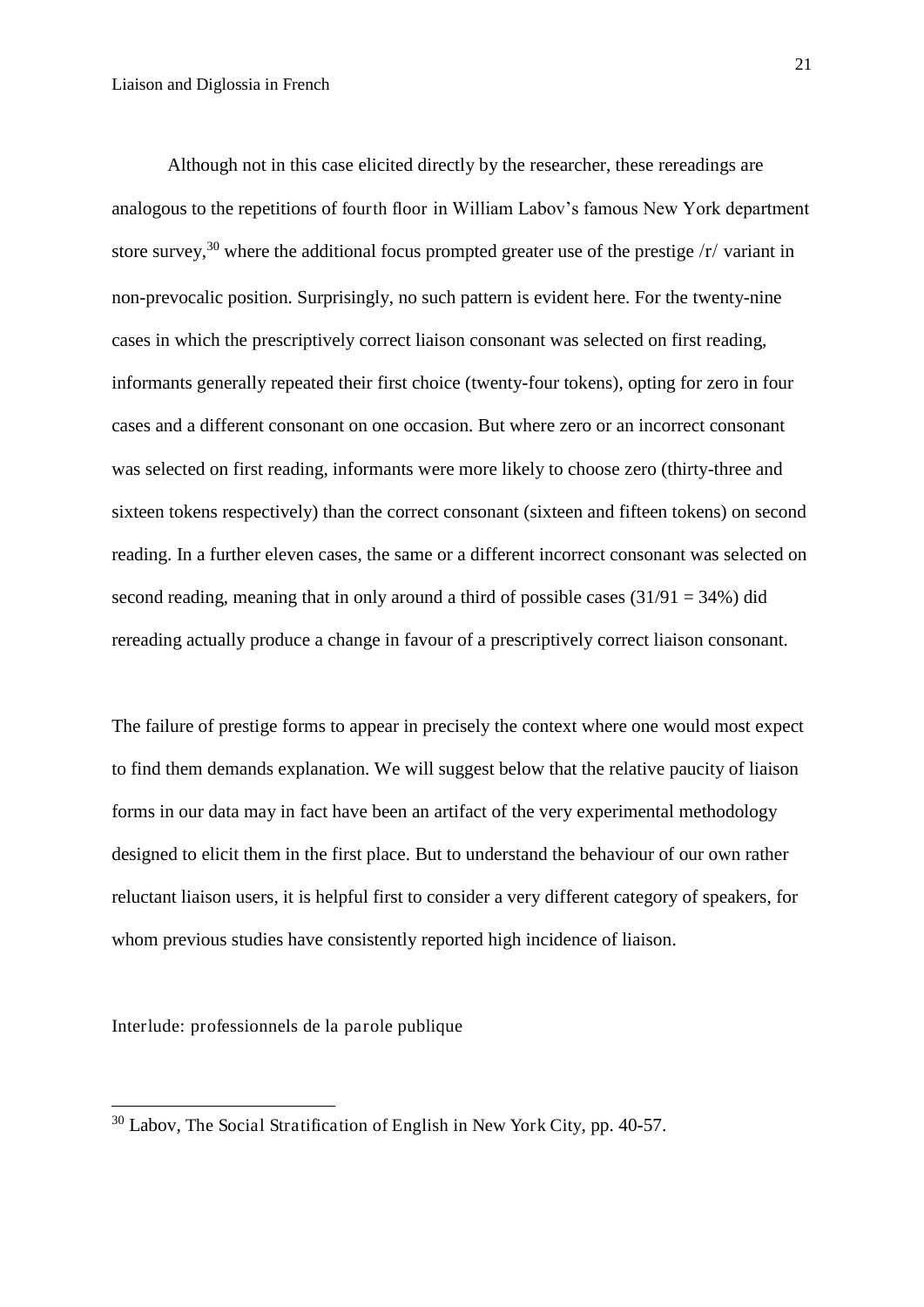Although not in this case elicited directly by the researcher, these rereadings are analogous to the repetitions of fourth floor in William Labov's famous New York department store survey,<sup>30</sup> where the additional focus prompted greater use of the prestige  $\langle r \rangle$  variant in non-prevocalic position. Surprisingly, no such pattern is evident here. For the twenty-nine cases in which the prescriptively correct liaison consonant was selected on first reading, informants generally repeated their first choice (twenty-four tokens), opting for zero in four cases and a different consonant on one occasion. But where zero or an incorrect consonant was selected on first reading, informants were more likely to choose zero (thirty-three and sixteen tokens respectively) than the correct consonant (sixteen and fifteen tokens) on second reading. In a further eleven cases, the same or a different incorrect consonant was selected on second reading, meaning that in only around a third of possible cases  $(31/91 = 34%)$  did rereading actually produce a change in favour of a prescriptively correct liaison consonant.

The failure of prestige forms to appear in precisely the context where one would most expect to find them demands explanation. We will suggest below that the relative paucity of liaison forms in our data may in fact have been an artifact of the very experimental methodology designed to elicit them in the first place. But to understand the behaviour of our own rather reluctant liaison users, it is helpful first to consider a very different category of speakers, for whom previous studies have consistently reported high incidence of liaison.

Interlude: professionnels de la parole publique

-

<sup>30</sup> Labov, The Social Stratification of English in New York City, pp. 40-57.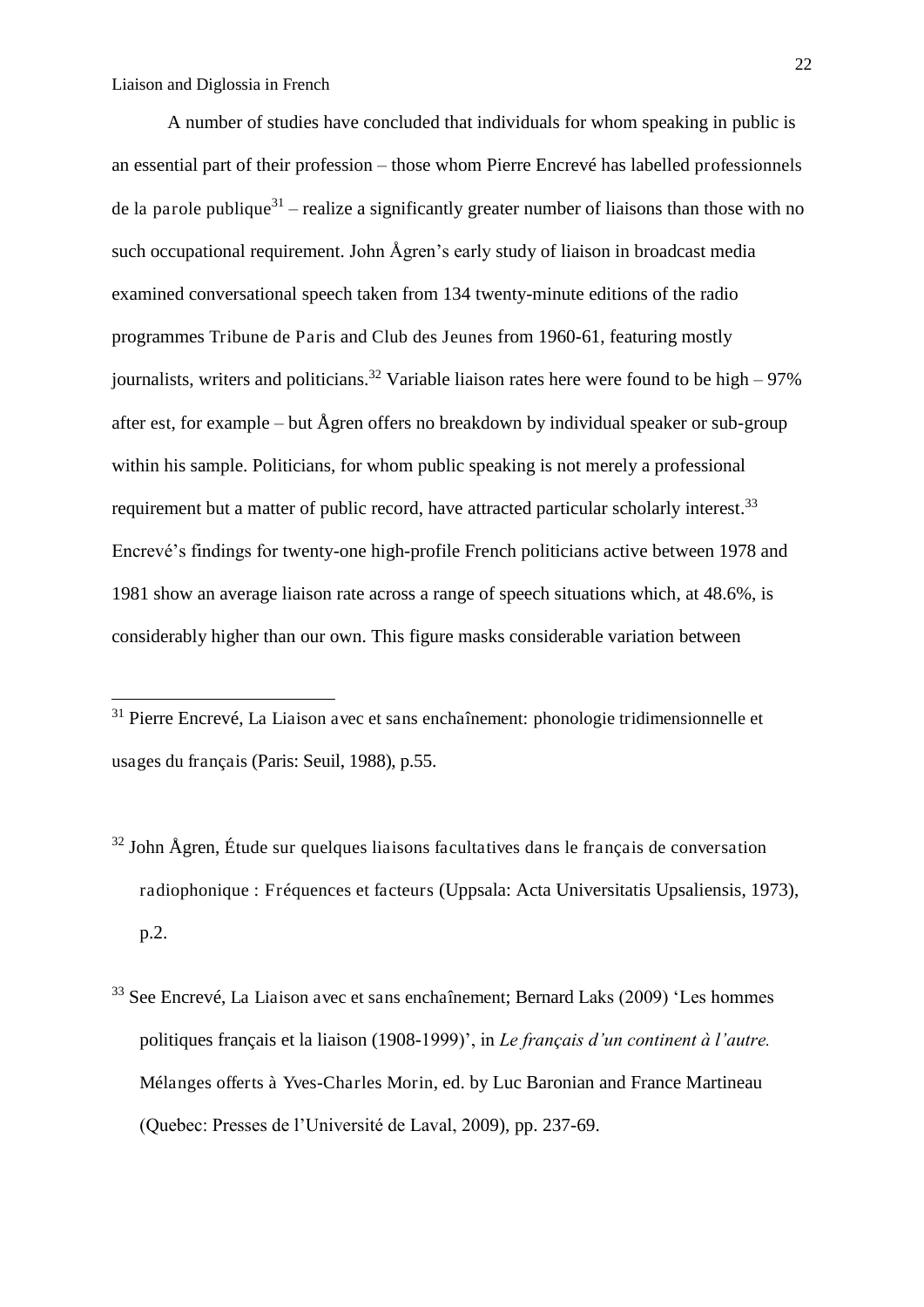<u>.</u>

 A number of studies have concluded that individuals for whom speaking in public is an essential part of their profession – those whom Pierre Encrevé has labelled professionnels de la parole publique<sup>31</sup> – realize a significantly greater number of liaisons than those with no such occupational requirement. John Ågren's early study of liaison in broadcast media examined conversational speech taken from 134 twenty-minute editions of the radio programmes Tribune de Paris and Club des Jeunes from 1960-61, featuring mostly journalists, writers and politicians.<sup>32</sup> Variable liaison rates here were found to be high – 97% after est, for example – but Ågren offers no breakdown by individual speaker or sub-group within his sample. Politicians, for whom public speaking is not merely a professional requirement but a matter of public record, have attracted particular scholarly interest.<sup>33</sup> Encrevé's findings for twenty-one high-profile French politicians active between 1978 and 1981 show an average liaison rate across a range of speech situations which, at 48.6%, is considerably higher than our own. This figure masks considerable variation between

- $32$  John Ågren, Étude sur quelques liaisons facultatives dans le français de conversation radiophonique : Fréquences et facteurs (Uppsala: Acta Universitatis Upsaliensis, 1973), p.2.
- $33$  See Encrevé, La Liaison avec et sans enchaînement; Bernard Laks (2009) 'Les hommes politiques français et la liaison (1908-1999)', in *Le français d'un continent à l'autre.*  Mélanges offerts à Yves-Charles Morin, ed. by Luc Baronian and France Martineau (Quebec: Presses de l'Université de Laval, 2009), pp. 237-69.

<sup>&</sup>lt;sup>31</sup> Pierre Encrevé, La Liaison avec et sans enchaînement: phonologie tridimensionnelle et usages du français (Paris: Seuil, 1988), p.55.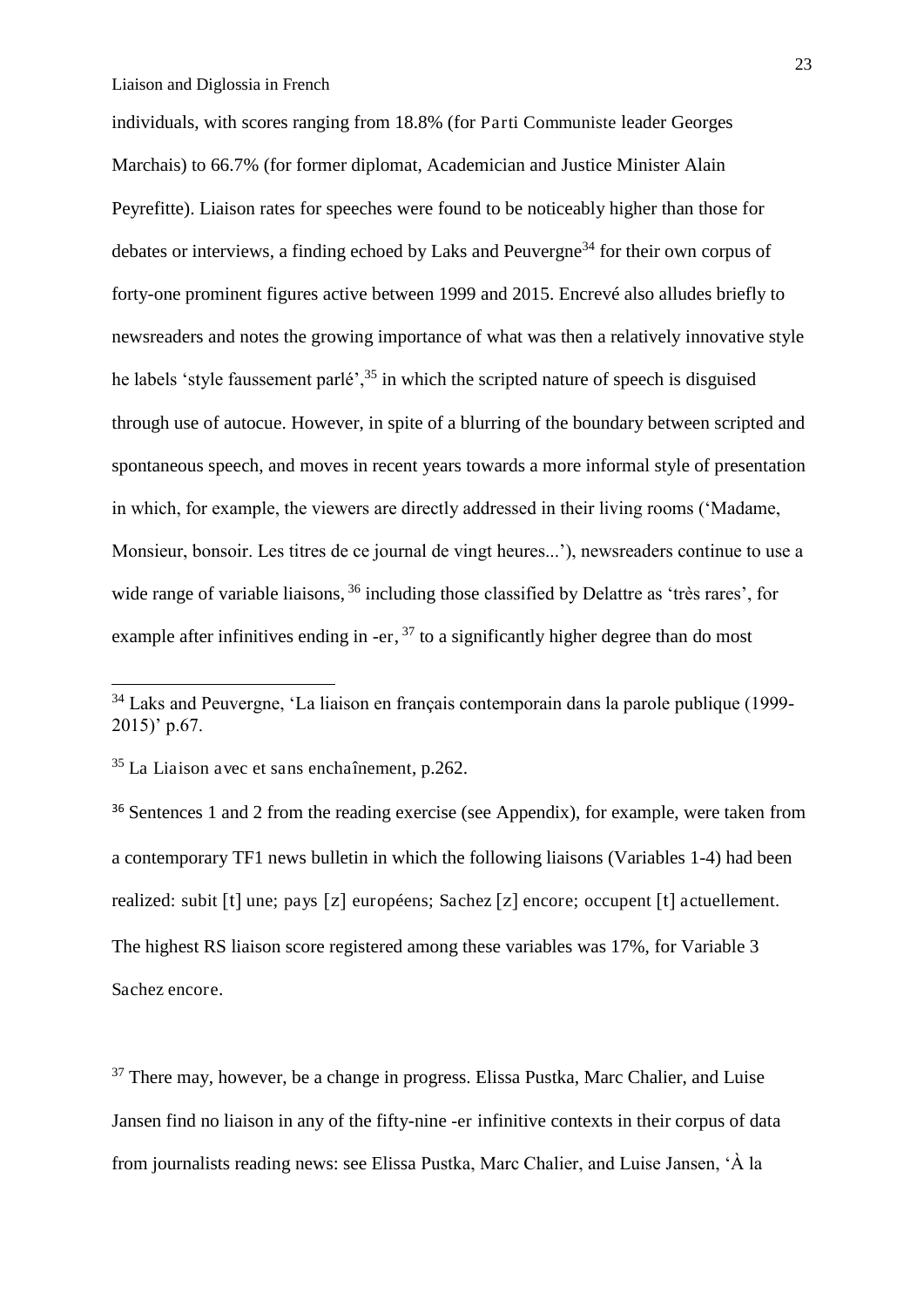individuals, with scores ranging from 18.8% (for Parti Communiste leader Georges Marchais) to 66.7% (for former diplomat, Academician and Justice Minister Alain Peyrefitte). Liaison rates for speeches were found to be noticeably higher than those for debates or interviews, a finding echoed by Laks and Peuvergne<sup>34</sup> for their own corpus of forty-one prominent figures active between 1999 and 2015. Encrevé also alludes briefly to newsreaders and notes the growing importance of what was then a relatively innovative style he labels 'style faussement parlé',  $35$  in which the scripted nature of speech is disguised through use of autocue. However, in spite of a blurring of the boundary between scripted and spontaneous speech, and moves in recent years towards a more informal style of presentation in which, for example, the viewers are directly addressed in their living rooms ('Madame, Monsieur, bonsoir. Les titres de ce journal de vingt heures...'), newsreaders continue to use a wide range of variable liaisons, <sup>36</sup> including those classified by Delattre as 'très rares', for example after infinitives ending in -er,  $37$  to a significantly higher degree than do most

<sup>35</sup> La Liaison avec et sans enchaînement, p.262.

-

<sup>36</sup> Sentences 1 and 2 from the reading exercise (see Appendix), for example, were taken from a contemporary TF1 news bulletin in which the following liaisons (Variables 1-4) had been realized: subit  $[t]$  une; pays  $[z]$  européens; Sachez  $[z]$  encore; occupent  $[t]$  actuellement. The highest RS liaison score registered among these variables was 17%, for Variable 3 Sachez encore.

<sup>37</sup> There may, however, be a change in progress. Elissa Pustka, Marc Chalier, and Luise Jansen find no liaison in any of the fifty-nine -er infinitive contexts in their corpus of data from journalists reading news: see Elissa Pustka, Marc Chalier, and Luise Jansen, 'À la

<sup>&</sup>lt;sup>34</sup> Laks and Peuvergne, 'La liaison en français contemporain dans la parole publique (1999-2015)' p.67.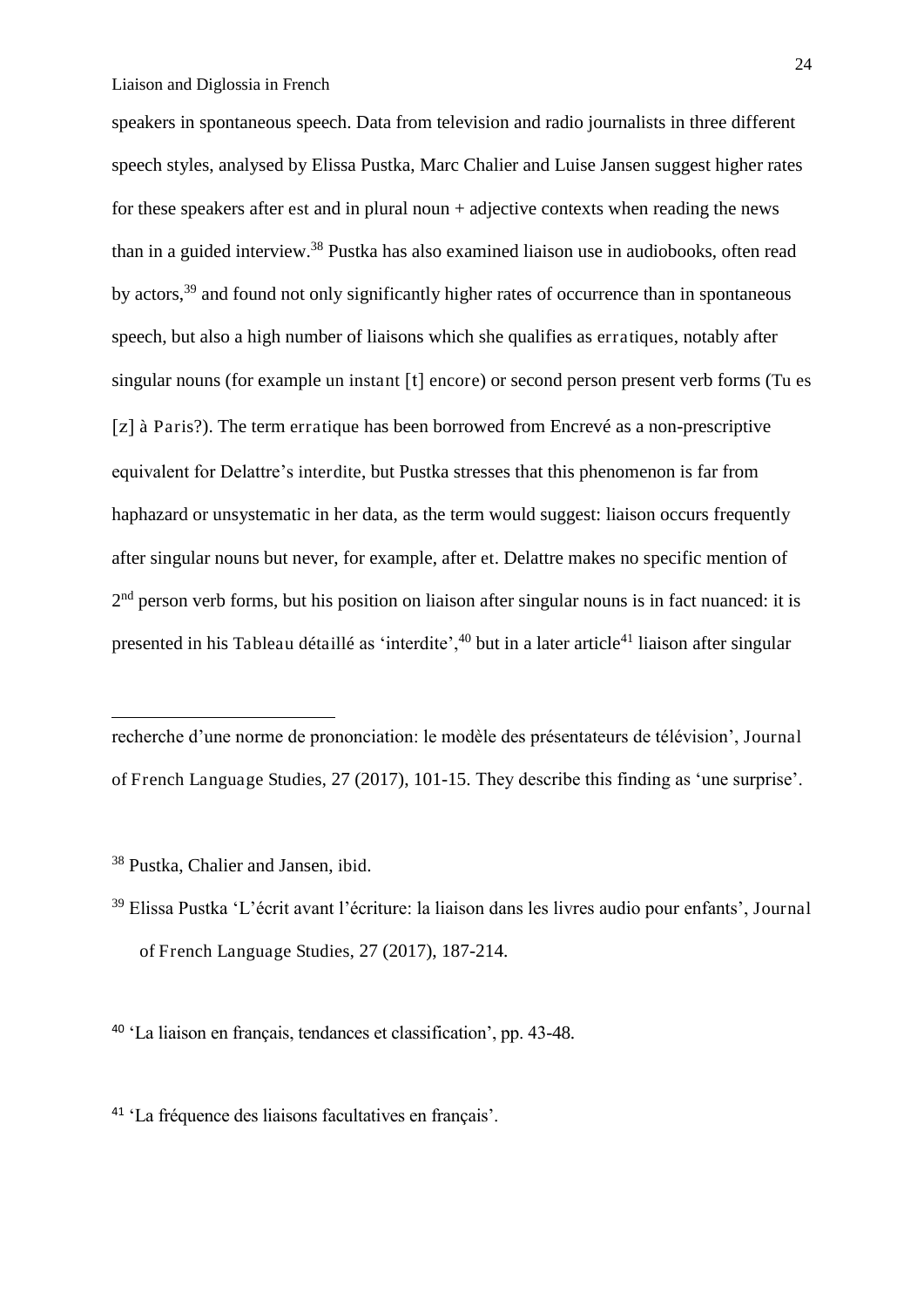speakers in spontaneous speech. Data from television and radio journalists in three different speech styles, analysed by Elissa Pustka, Marc Chalier and Luise Jansen suggest higher rates for these speakers after est and in plural noun + adjective contexts when reading the news than in a guided interview.<sup>38</sup> Pustka has also examined liaison use in audiobooks, often read by actors,<sup>39</sup> and found not only significantly higher rates of occurrence than in spontaneous speech, but also a high number of liaisons which she qualifies as erratiques, notably after singular nouns (for example un instant  $[t]$  encore) or second person present verb forms (Tu es à Paris?). The term erratique has been borrowed from Encrevé as a non-prescriptive equivalent for Delattre's interdite, but Pustka stresses that this phenomenon is far from haphazard or unsystematic in her data, as the term would suggest: liaison occurs frequently after singular nouns but never, for example, after et. Delattre makes no specific mention of 2<sup>nd</sup> person verb forms, but his position on liaison after singular nouns is in fact nuanced: it is presented in his Tableau détaillé as 'interdite',  $40$  but in a later article<sup>41</sup> liaison after singular

recherche d'une norme de prononciation: le modèle des présentateurs de télévision', Journal of French Language Studies, 27 (2017), 101-15. They describe this finding as 'une surprise'.

<sup>38</sup> Pustka, Chalier and Jansen, ibid.

<u>.</u>

<sup>40</sup> 'La liaison en français, tendances et classification', pp. 43-48.

<sup>41</sup> 'La fréquence des liaisons facultatives en français'.

<sup>39</sup> Elissa Pustka 'L'écrit avant l'écriture: la liaison dans les livres audio pour enfants', Journal of French Language Studies, 27 (2017), 187-214.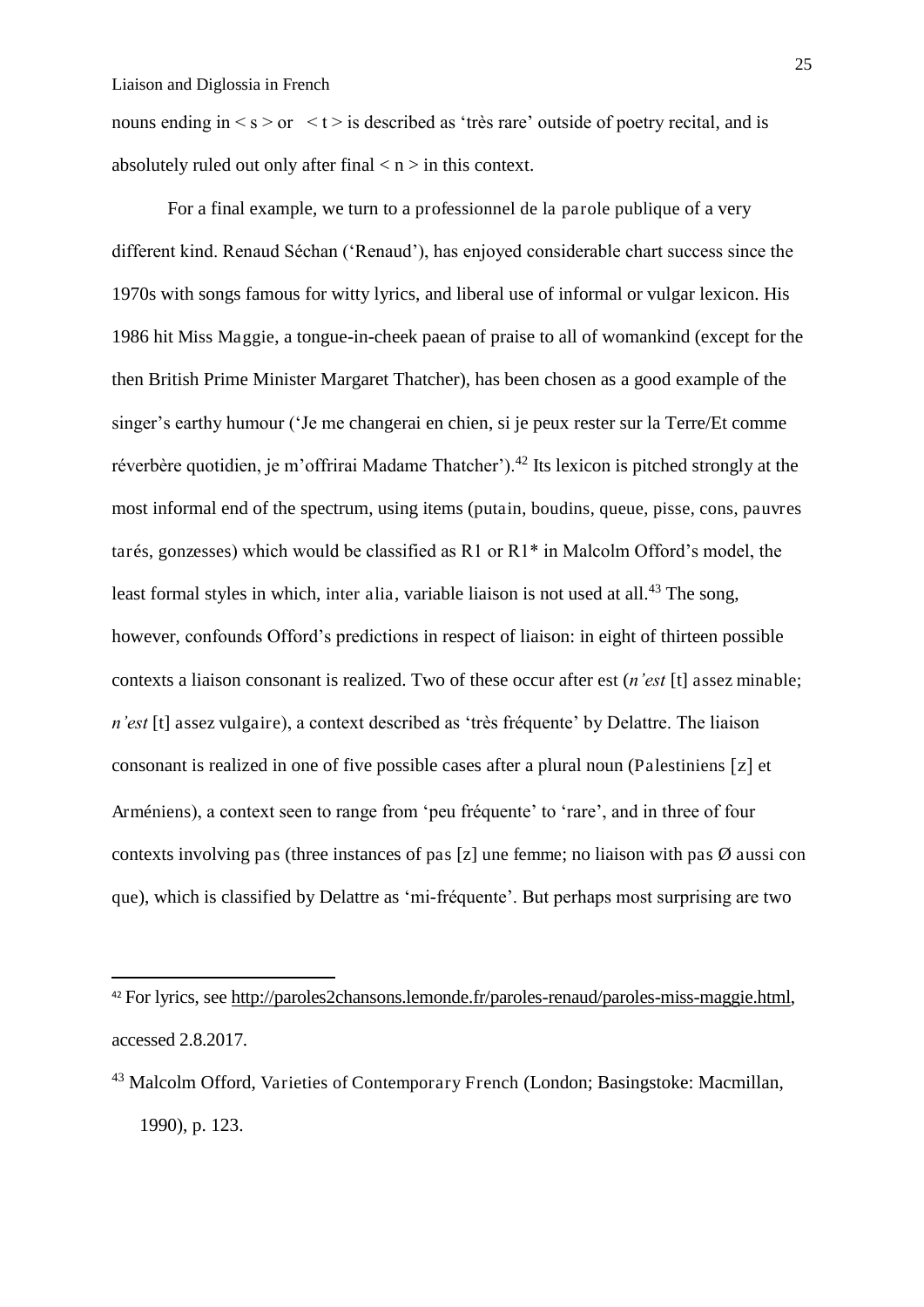-

nouns ending in  $\leq s \geq 0$   $\leq t \geq$  is described as 'très rare' outside of poetry recital, and is absolutely ruled out only after final  $\langle n \rangle$  in this context.

 For a final example, we turn to a professionnel de la parole publique of a very different kind. Renaud Séchan ('Renaud'), has enjoyed considerable chart success since the 1970s with songs famous for witty lyrics, and liberal use of informal or vulgar lexicon. His 1986 hit Miss Maggie, a tongue-in-cheek paean of praise to all of womankind (except for the then British Prime Minister Margaret Thatcher), has been chosen as a good example of the singer's earthy humour ('Je me changerai en chien, si je peux rester sur la Terre/Et comme réverbère quotidien, je m'offrirai Madame Thatcher').<sup>42</sup> Its lexicon is pitched strongly at the most informal end of the spectrum, using items (putain, boudins, queue, pisse, cons, pauvres tarés, gonzesses) which would be classified as R1 or R1\* in Malcolm Offord's model, the least formal styles in which, inter alia, variable liaison is not used at all.<sup>43</sup> The song, however, confounds Offord's predictions in respect of liaison: in eight of thirteen possible contexts a liaison consonant is realized. Two of these occur after est (*n'est* [t] assez minable; *n'est* [t] assez vulgaire), a context described as 'très fréquente' by Delattre. The liaison consonant is realized in one of five possible cases after a plural noun (Palestiniens  $[z]$  et Arméniens), a context seen to range from 'peu fréquente' to 'rare', and in three of four contexts involving pas (three instances of pas [z] une femme; no liaison with pas  $\emptyset$  aussi con que), which is classified by Delattre as 'mi-fréquente'. But perhaps most surprising are two

<sup>42</sup> For lyrics, see [http://paroles2chansons.lemonde.fr/paroles-renaud/paroles-miss-maggie.html,](http://paroles2chansons.lemonde.fr/paroles-renaud/paroles-miss-maggie.html) accessed 2.8.2017.

<sup>43</sup> Malcolm Offord, Varieties of Contemporary French (London; Basingstoke: Macmillan, 1990), p. 123.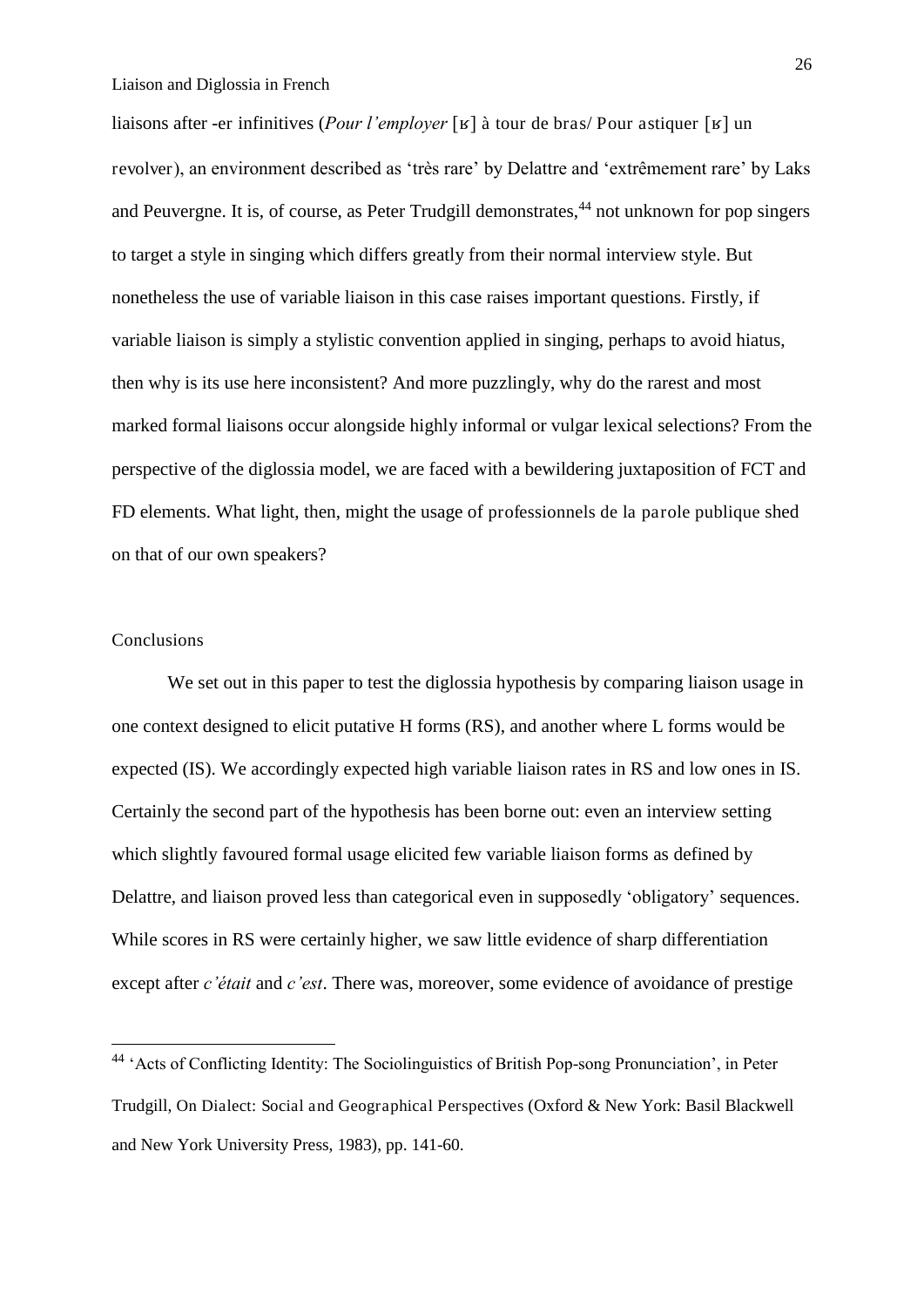liaisons after -er infinitives (*Pour l'employer* [ʁ] à tour de bras/ Pour astiquer [ʁ] un revolver), an environment described as 'très rare' by Delattre and 'extrêmement rare' by Laks and Peuvergne. It is, of course, as Peter Trudgill demonstrates,<sup>44</sup> not unknown for pop singers to target a style in singing which differs greatly from their normal interview style. But nonetheless the use of variable liaison in this case raises important questions. Firstly, if variable liaison is simply a stylistic convention applied in singing, perhaps to avoid hiatus, then why is its use here inconsistent? And more puzzlingly, why do the rarest and most marked formal liaisons occur alongside highly informal or vulgar lexical selections? From the perspective of the diglossia model, we are faced with a bewildering juxtaposition of FCT and FD elements. What light, then, might the usage of professionnels de la parole publique shed on that of our own speakers?

# Conclusions

-

We set out in this paper to test the diglossia hypothesis by comparing liaison usage in one context designed to elicit putative H forms (RS), and another where L forms would be expected (IS). We accordingly expected high variable liaison rates in RS and low ones in IS. Certainly the second part of the hypothesis has been borne out: even an interview setting which slightly favoured formal usage elicited few variable liaison forms as defined by Delattre, and liaison proved less than categorical even in supposedly 'obligatory' sequences. While scores in RS were certainly higher, we saw little evidence of sharp differentiation except after *c'était* and *c'est*. There was, moreover, some evidence of avoidance of prestige

<sup>44</sup> 'Acts of Conflicting Identity: The Sociolinguistics of British Pop-song Pronunciation', in Peter Trudgill, On Dialect: Social and Geographical Perspectives (Oxford & New York: Basil Blackwell and New York University Press, 1983), pp. 141-60.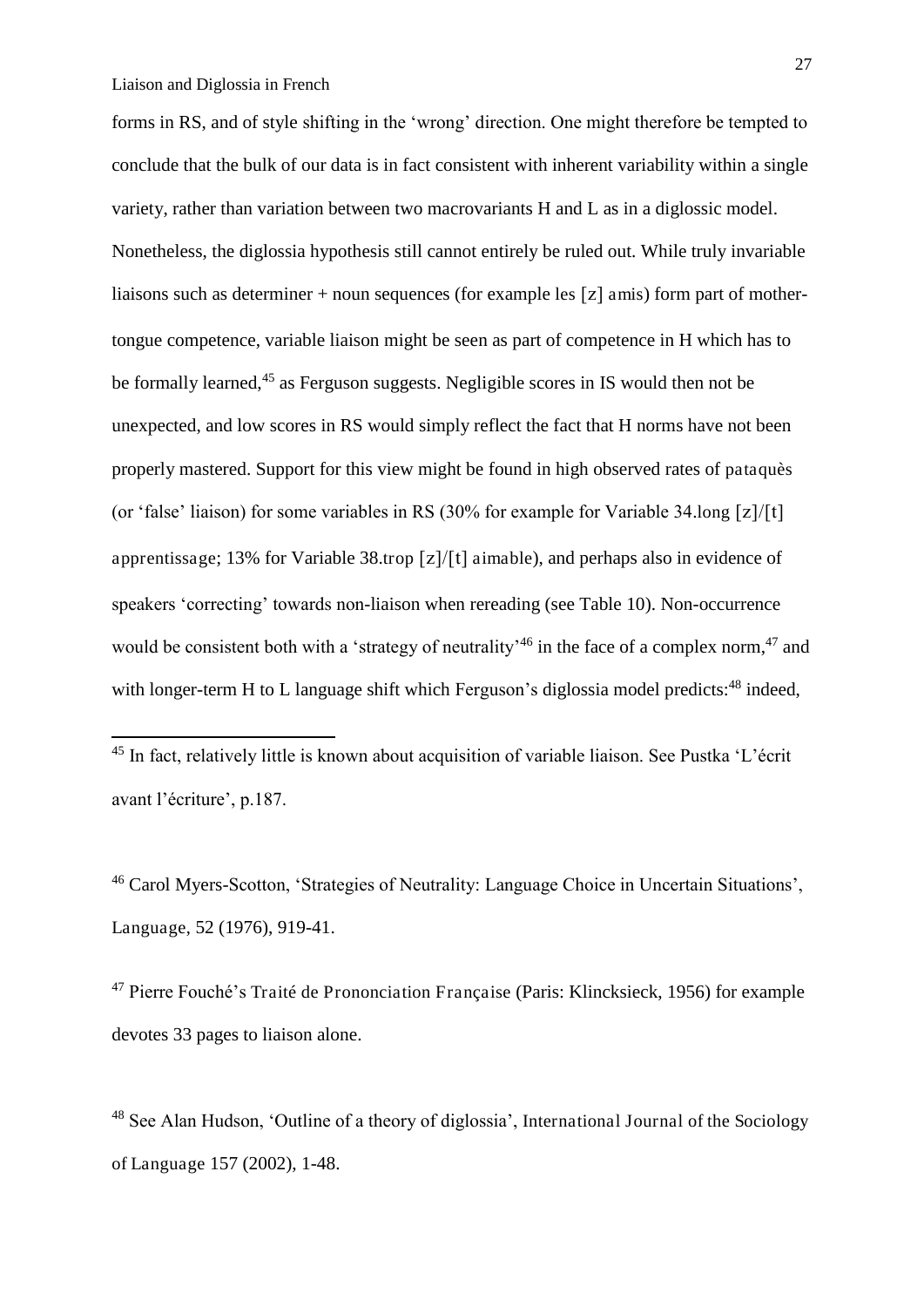<u>.</u>

forms in RS, and of style shifting in the 'wrong' direction. One might therefore be tempted to conclude that the bulk of our data is in fact consistent with inherent variability within a single variety, rather than variation between two macrovariants H and L as in a diglossic model. Nonetheless, the diglossia hypothesis still cannot entirely be ruled out. While truly invariable liaisons such as determiner + noun sequences (for example les  $[z]$  amis) form part of mothertongue competence, variable liaison might be seen as part of competence in H which has to be formally learned,<sup>45</sup> as Ferguson suggests. Negligible scores in IS would then not be unexpected, and low scores in RS would simply reflect the fact that H norms have not been properly mastered. Support for this view might be found in high observed rates of pataquès (or 'false' liaison) for some variables in RS (30% for example for Variable 34.long  $[z]/[t]$ apprentissage; 13% for Variable 38.trop  $\lceil z \rceil / \lceil t \rceil$  aimable), and perhaps also in evidence of speakers 'correcting' towards non-liaison when rereading (see Table 10). Non-occurrence would be consistent both with a 'strategy of neutrality'<sup>46</sup> in the face of a complex norm,<sup>47</sup> and with longer-term H to L language shift which Ferguson's diglossia model predicts: $48$  indeed,

<sup>45</sup> In fact, relatively little is known about acquisition of variable liaison. See Pustka 'L'écrit avant l'écriture', p.187.

<sup>46</sup> Carol Myers-Scotton, 'Strategies of Neutrality: Language Choice in Uncertain Situations', Language, 52 (1976), 919-41.

<sup>47</sup> Pierre Fouché's Traité de Prononciation Française (Paris: Klincksieck, 1956) for example devotes 33 pages to liaison alone.

<sup>48</sup> See Alan Hudson, 'Outline of a theory of diglossia', International Journal of the Sociology of Language 157 (2002), 1-48.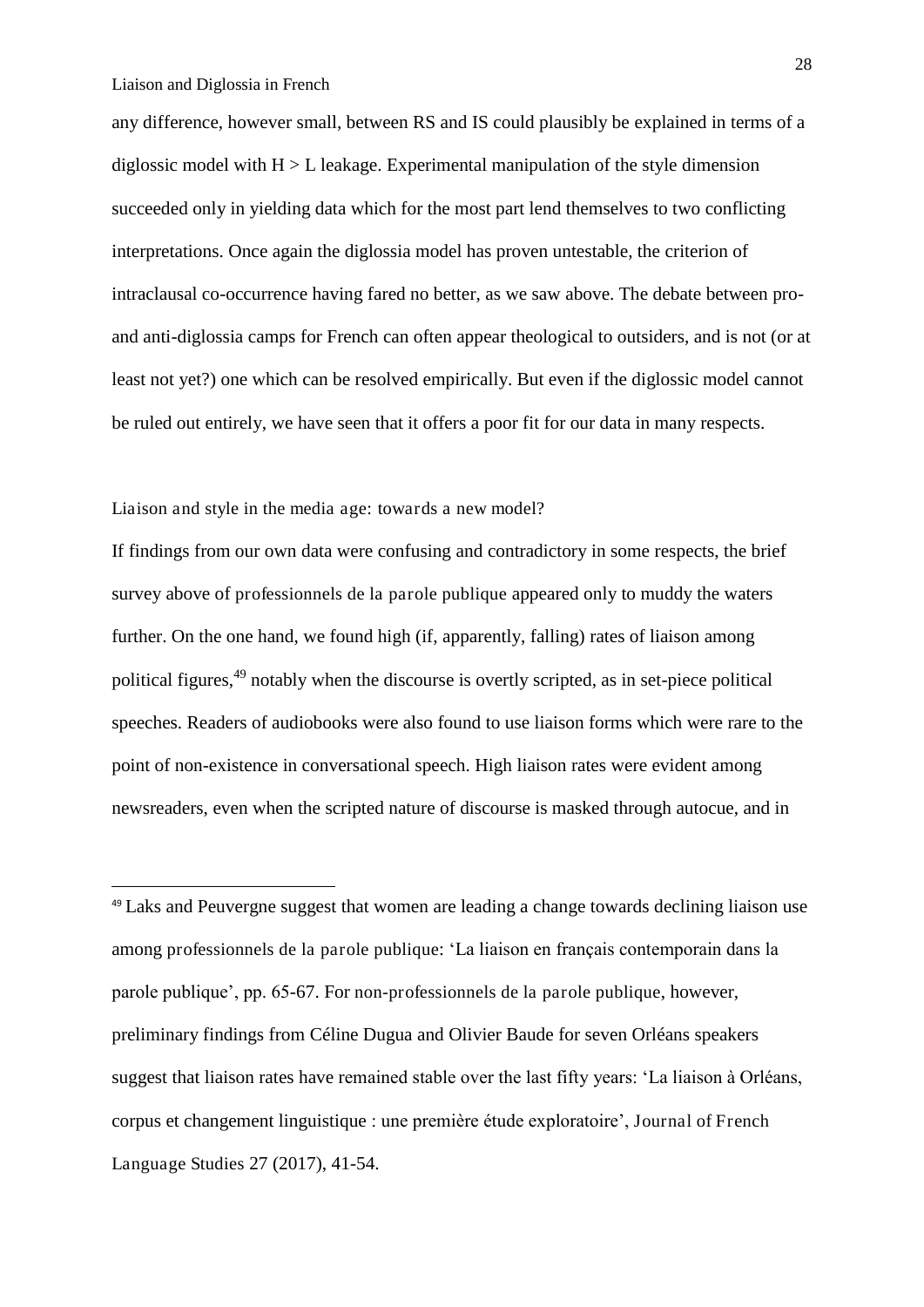-

any difference, however small, between RS and IS could plausibly be explained in terms of a diglossic model with  $H > L$  leakage. Experimental manipulation of the style dimension succeeded only in yielding data which for the most part lend themselves to two conflicting interpretations. Once again the diglossia model has proven untestable, the criterion of intraclausal co-occurrence having fared no better, as we saw above. The debate between proand anti-diglossia camps for French can often appear theological to outsiders, and is not (or at least not yet?) one which can be resolved empirically. But even if the diglossic model cannot be ruled out entirely, we have seen that it offers a poor fit for our data in many respects.

Liaison and style in the media age: towards a new model?

If findings from our own data were confusing and contradictory in some respects, the brief survey above of professionnels de la parole publique appeared only to muddy the waters further. On the one hand, we found high (if, apparently, falling) rates of liaison among political figures,<sup>49</sup> notably when the discourse is overtly scripted, as in set-piece political speeches. Readers of audiobooks were also found to use liaison forms which were rare to the point of non-existence in conversational speech. High liaison rates were evident among newsreaders, even when the scripted nature of discourse is masked through autocue, and in

<sup>49</sup> Laks and Peuvergne suggest that women are leading a change towards declining liaison use among professionnels de la parole publique: 'La liaison en français contemporain dans la parole publique', pp. 65-67. For non-professionnels de la parole publique, however, preliminary findings from Céline Dugua and Olivier Baude for seven Orléans speakers suggest that liaison rates have remained stable over the last fifty years: 'La liaison à Orléans, corpus et changement linguistique : une première étude exploratoire', Journal of French Language Studies 27 (2017), 41-54.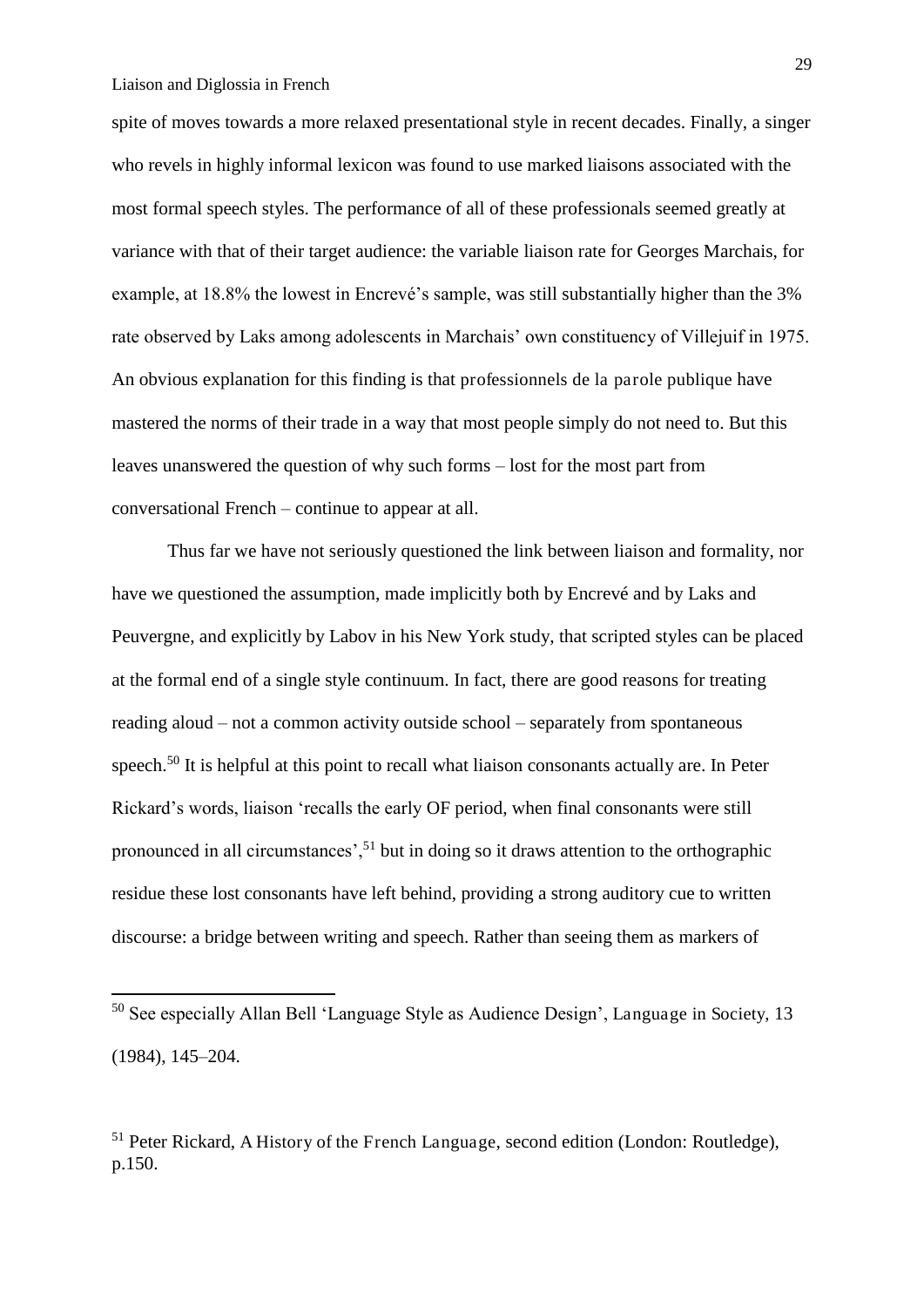<u>.</u>

spite of moves towards a more relaxed presentational style in recent decades. Finally, a singer who revels in highly informal lexicon was found to use marked liaisons associated with the most formal speech styles. The performance of all of these professionals seemed greatly at variance with that of their target audience: the variable liaison rate for Georges Marchais, for example, at 18.8% the lowest in Encrevé's sample, was still substantially higher than the 3% rate observed by Laks among adolescents in Marchais' own constituency of Villejuif in 1975. An obvious explanation for this finding is that professionnels de la parole publique have mastered the norms of their trade in a way that most people simply do not need to. But this leaves unanswered the question of why such forms – lost for the most part from conversational French – continue to appear at all.

 Thus far we have not seriously questioned the link between liaison and formality, nor have we questioned the assumption, made implicitly both by Encrevé and by Laks and Peuvergne, and explicitly by Labov in his New York study, that scripted styles can be placed at the formal end of a single style continuum. In fact, there are good reasons for treating reading aloud – not a common activity outside school – separately from spontaneous speech.<sup>50</sup> It is helpful at this point to recall what liaison consonants actually are. In Peter Rickard's words, liaison 'recalls the early OF period, when final consonants were still pronounced in all circumstances',<sup>51</sup> but in doing so it draws attention to the orthographic residue these lost consonants have left behind, providing a strong auditory cue to written discourse: a bridge between writing and speech. Rather than seeing them as markers of

<sup>50</sup> See especially Allan Bell 'Language Style as Audience Design', Language in Society, 13 (1984), 145–204.

<sup>&</sup>lt;sup>51</sup> Peter Rickard, A History of the French Language, second edition (London: Routledge), p.150.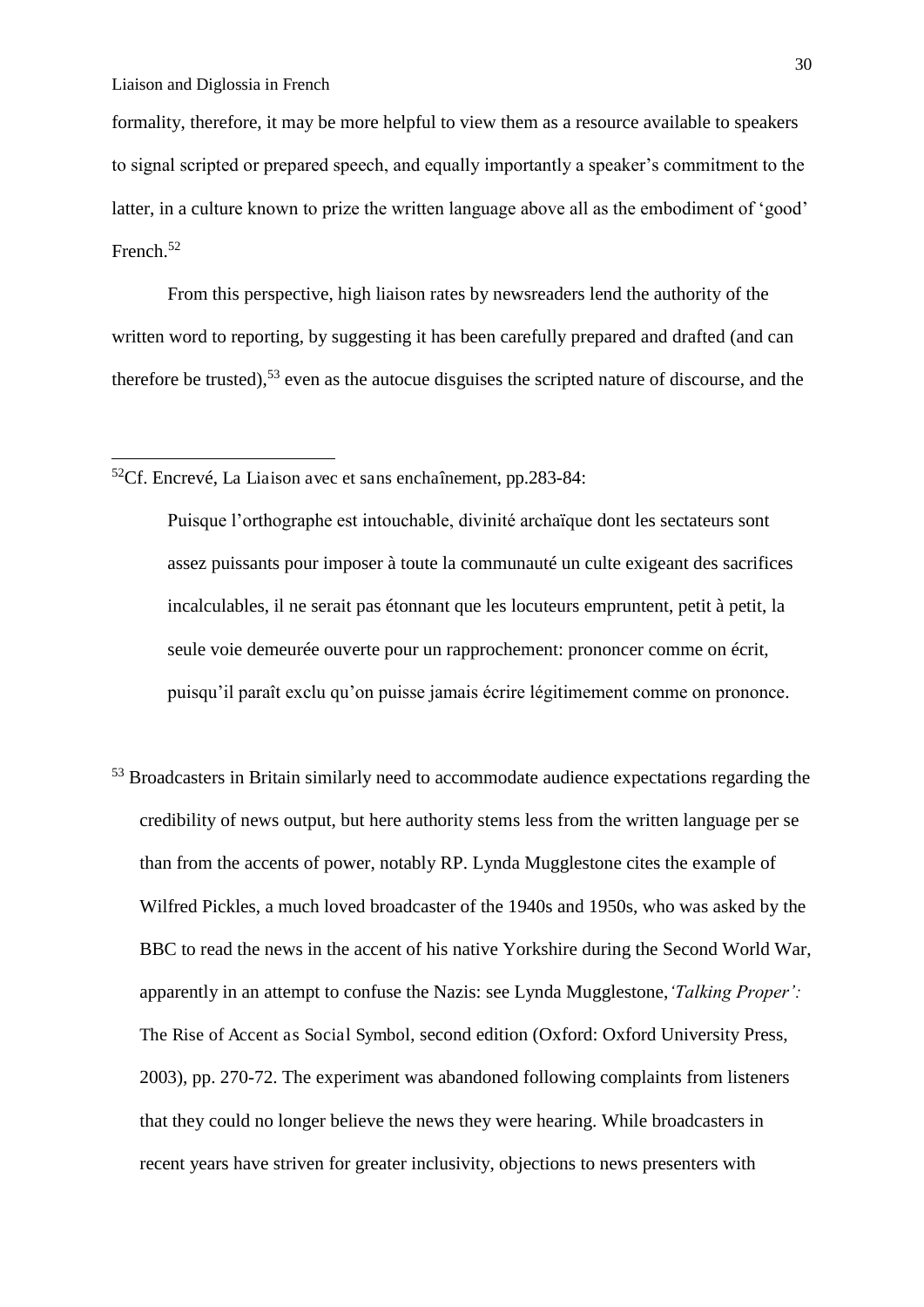-

formality, therefore, it may be more helpful to view them as a resource available to speakers to signal scripted or prepared speech, and equally importantly a speaker's commitment to the latter, in a culture known to prize the written language above all as the embodiment of 'good' French.<sup>52</sup>

 From this perspective, high liaison rates by newsreaders lend the authority of the written word to reporting, by suggesting it has been carefully prepared and drafted (and can therefore be trusted),  $53$  even as the autocue disguises the scripted nature of discourse, and the

 $52$ Cf. Encrevé, La Liaison avec et sans enchaînement, pp.283-84:

Puisque l'orthographe est intouchable, divinité archaïque dont les sectateurs sont assez puissants pour imposer à toute la communauté un culte exigeant des sacrifices incalculables, il ne serait pas étonnant que les locuteurs empruntent, petit à petit, la seule voie demeurée ouverte pour un rapprochement: prononcer comme on écrit, puisqu'il paraît exclu qu'on puisse jamais écrire légitimement comme on prononce.

<sup>53</sup> Broadcasters in Britain similarly need to accommodate audience expectations regarding the credibility of news output, but here authority stems less from the written language per se than from the accents of power, notably RP. Lynda Mugglestone cites the example of Wilfred Pickles, a much loved broadcaster of the 1940s and 1950s, who was asked by the BBC to read the news in the accent of his native Yorkshire during the Second World War, apparently in an attempt to confuse the Nazis: see Lynda Mugglestone,*'Talking Proper':*  The Rise of Accent as Social Symbol, second edition (Oxford: Oxford University Press, 2003), pp. 270-72. The experiment was abandoned following complaints from listeners that they could no longer believe the news they were hearing. While broadcasters in recent years have striven for greater inclusivity, objections to news presenters with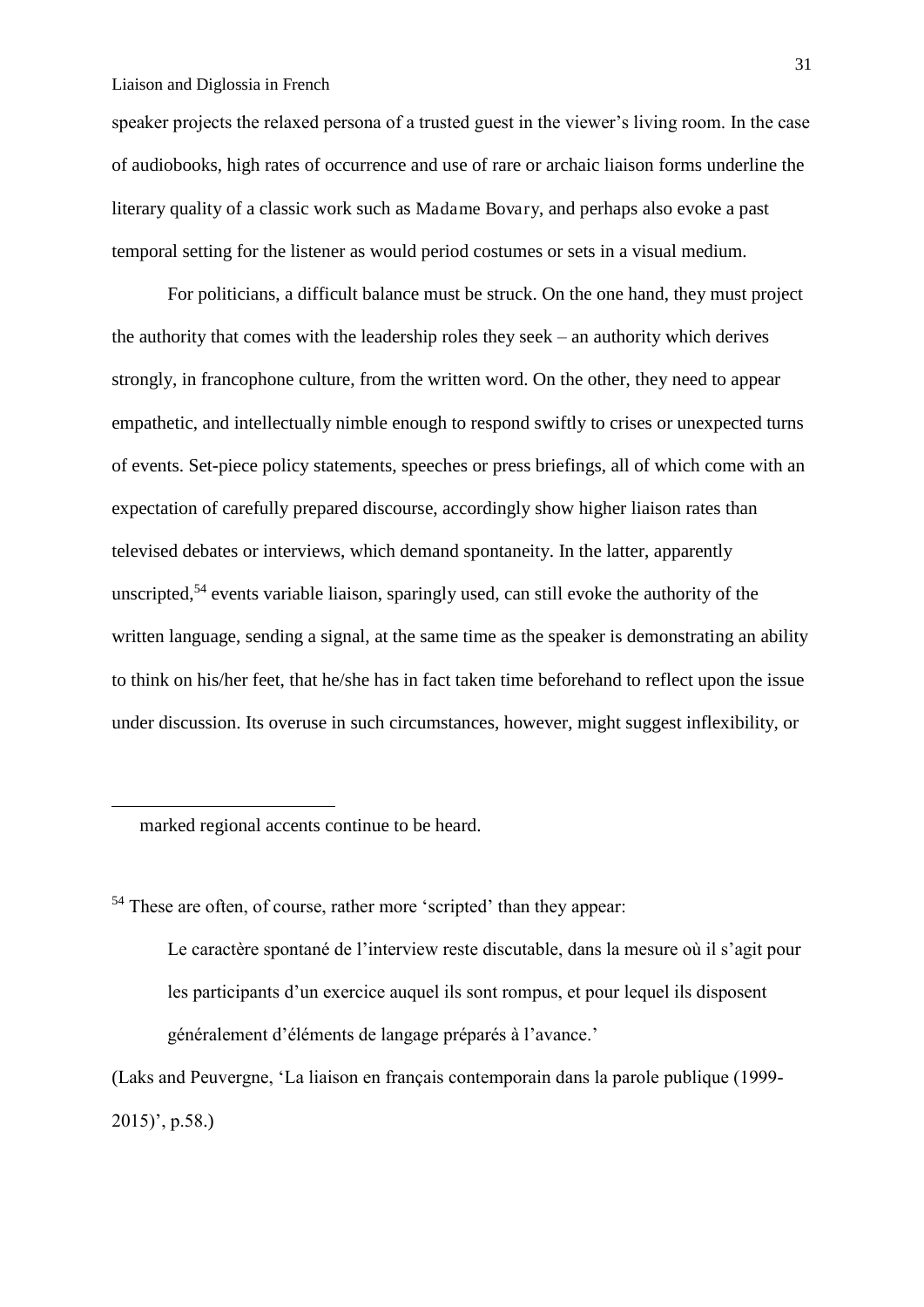speaker projects the relaxed persona of a trusted guest in the viewer's living room. In the case of audiobooks, high rates of occurrence and use of rare or archaic liaison forms underline the literary quality of a classic work such as Madame Bovary, and perhaps also evoke a past temporal setting for the listener as would period costumes or sets in a visual medium.

 For politicians, a difficult balance must be struck. On the one hand, they must project the authority that comes with the leadership roles they seek – an authority which derives strongly, in francophone culture, from the written word. On the other, they need to appear empathetic, and intellectually nimble enough to respond swiftly to crises or unexpected turns of events. Set-piece policy statements, speeches or press briefings, all of which come with an expectation of carefully prepared discourse, accordingly show higher liaison rates than televised debates or interviews, which demand spontaneity. In the latter, apparently unscripted,<sup>54</sup> events variable liaison, sparingly used, can still evoke the authority of the written language, sending a signal, at the same time as the speaker is demonstrating an ability to think on his/her feet, that he/she has in fact taken time beforehand to reflect upon the issue under discussion. Its overuse in such circumstances, however, might suggest inflexibility, or

marked regional accents continue to be heard.

<u>.</u>

<sup>54</sup> These are often, of course, rather more 'scripted' than they appear:

Le caractère spontané de l'interview reste discutable, dans la mesure où il s'agit pour les participants d'un exercice auquel ils sont rompus, et pour lequel ils disposent généralement d'éléments de langage préparés à l'avance.'

(Laks and Peuvergne, 'La liaison en français contemporain dans la parole publique (1999- 2015)', p.58.)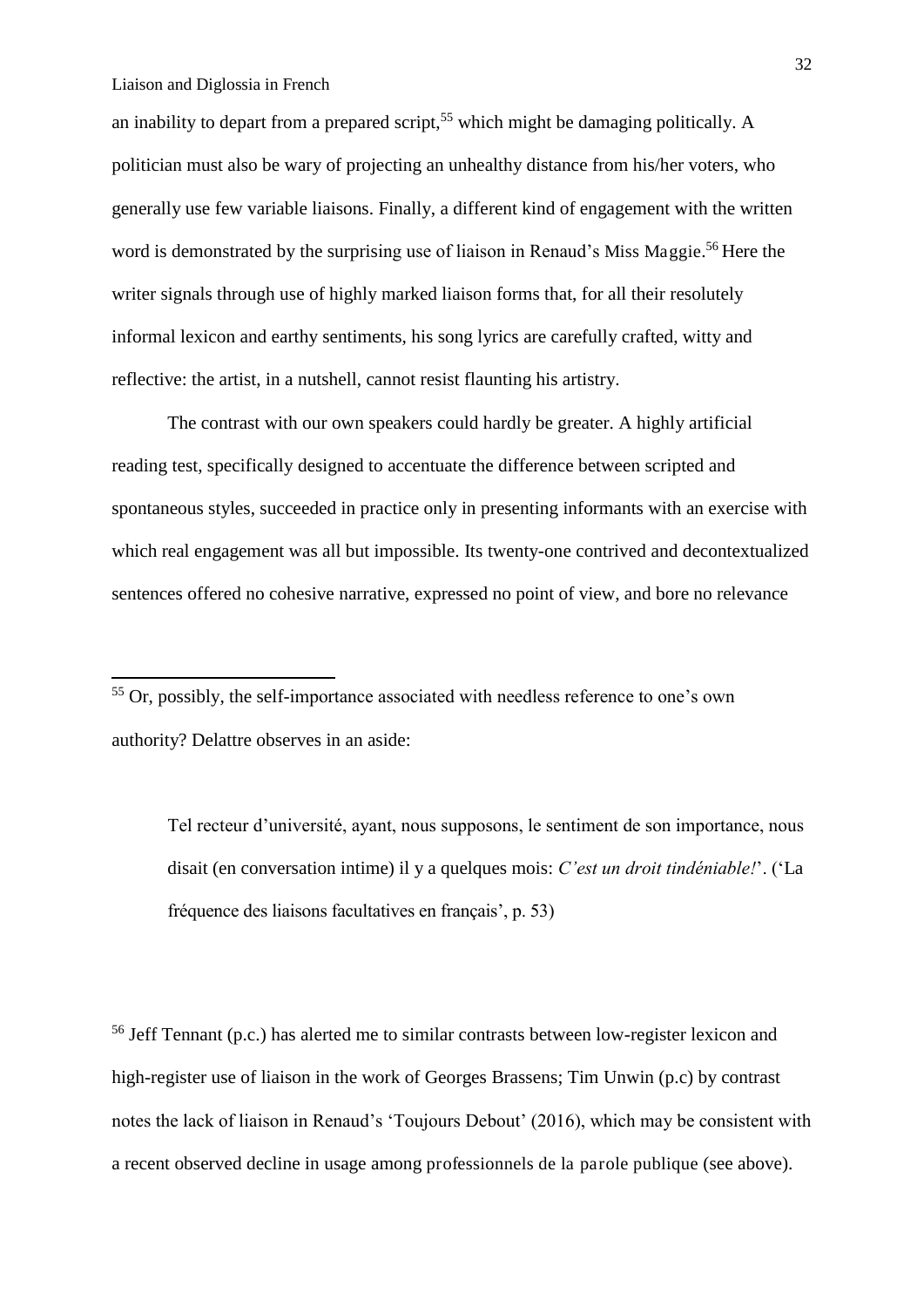-

an inability to depart from a prepared script,<sup>55</sup> which might be damaging politically. A politician must also be wary of projecting an unhealthy distance from his/her voters, who generally use few variable liaisons. Finally, a different kind of engagement with the written word is demonstrated by the surprising use of liaison in Renaud's Miss Maggie. <sup>56</sup> Here the writer signals through use of highly marked liaison forms that, for all their resolutely informal lexicon and earthy sentiments, his song lyrics are carefully crafted, witty and reflective: the artist, in a nutshell, cannot resist flaunting his artistry.

 The contrast with our own speakers could hardly be greater. A highly artificial reading test, specifically designed to accentuate the difference between scripted and spontaneous styles, succeeded in practice only in presenting informants with an exercise with which real engagement was all but impossible. Its twenty-one contrived and decontextualized sentences offered no cohesive narrative, expressed no point of view, and bore no relevance

Tel recteur d'université, ayant, nous supposons, le sentiment de son importance, nous disait (en conversation intime) il y a quelques mois: *C'est un droit tindéniable!*'. ('La fréquence des liaisons facultatives en français', p. 53)

<sup>56</sup> Jeff Tennant (p.c.) has alerted me to similar contrasts between low-register lexicon and high-register use of liaison in the work of Georges Brassens; Tim Unwin (p.c) by contrast notes the lack of liaison in Renaud's 'Toujours Debout' (2016), which may be consistent with a recent observed decline in usage among professionnels de la parole publique (see above).

<sup>55</sup> Or, possibly, the self-importance associated with needless reference to one's own authority? Delattre observes in an aside: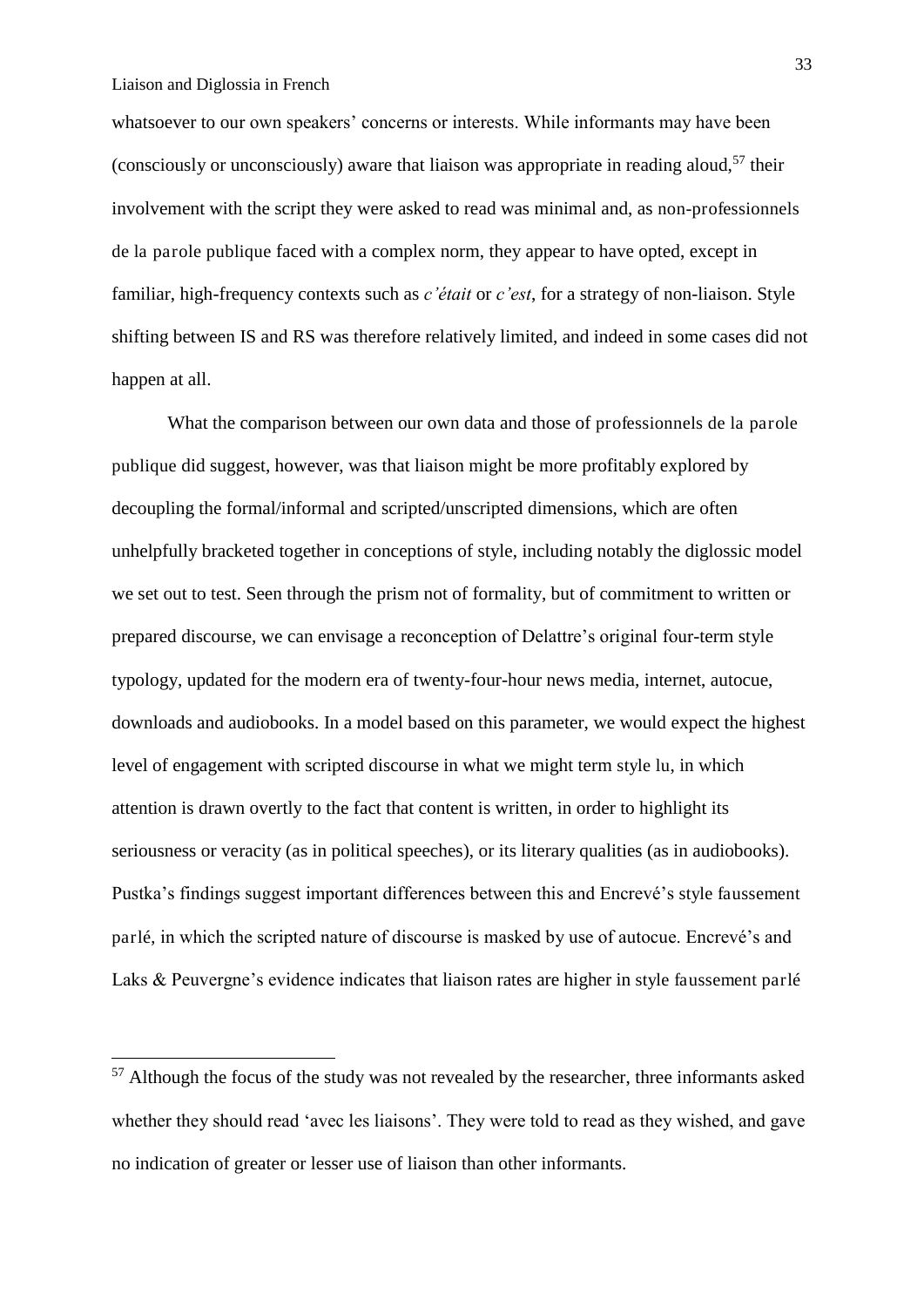-

whatsoever to our own speakers' concerns or interests. While informants may have been (consciously or unconsciously) aware that liaison was appropriate in reading aloud,<sup>57</sup> their involvement with the script they were asked to read was minimal and, as non-professionnels de la parole publique faced with a complex norm, they appear to have opted, except in familiar, high-frequency contexts such as *c'était* or *c'est*, for a strategy of non-liaison. Style shifting between IS and RS was therefore relatively limited, and indeed in some cases did not happen at all.

 What the comparison between our own data and those of professionnels de la parole publique did suggest, however, was that liaison might be more profitably explored by decoupling the formal/informal and scripted/unscripted dimensions, which are often unhelpfully bracketed together in conceptions of style, including notably the diglossic model we set out to test. Seen through the prism not of formality, but of commitment to written or prepared discourse, we can envisage a reconception of Delattre's original four-term style typology, updated for the modern era of twenty-four-hour news media, internet, autocue, downloads and audiobooks. In a model based on this parameter, we would expect the highest level of engagement with scripted discourse in what we might term style lu, in which attention is drawn overtly to the fact that content is written, in order to highlight its seriousness or veracity (as in political speeches), or its literary qualities (as in audiobooks). Pustka's findings suggest important differences between this and Encrevé's style faussement parlé, in which the scripted nature of discourse is masked by use of autocue. Encrevé's and Laks & Peuvergne's evidence indicates that liaison rates are higher in style faussement parlé

 $57$  Although the focus of the study was not revealed by the researcher, three informants asked whether they should read 'avec les liaisons'. They were told to read as they wished, and gave no indication of greater or lesser use of liaison than other informants.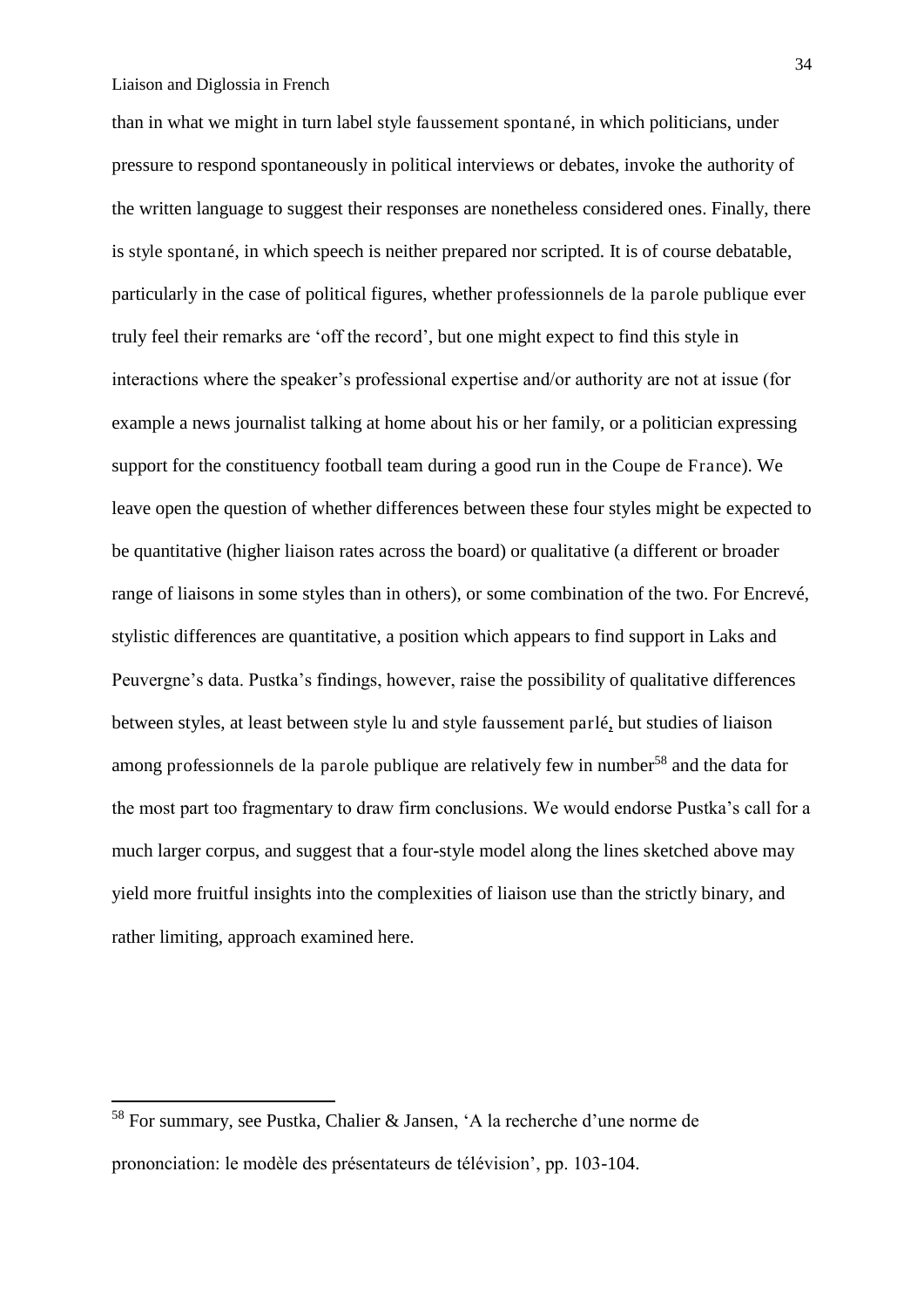than in what we might in turn label style faussement spontané, in which politicians, under pressure to respond spontaneously in political interviews or debates, invoke the authority of the written language to suggest their responses are nonetheless considered ones. Finally, there is style spontané, in which speech is neither prepared nor scripted. It is of course debatable, particularly in the case of political figures, whether professionnels de la parole publique ever truly feel their remarks are 'off the record', but one might expect to find this style in interactions where the speaker's professional expertise and/or authority are not at issue (for example a news journalist talking at home about his or her family, or a politician expressing support for the constituency football team during a good run in the Coupe de France). We leave open the question of whether differences between these four styles might be expected to be quantitative (higher liaison rates across the board) or qualitative (a different or broader range of liaisons in some styles than in others), or some combination of the two. For Encrevé, stylistic differences are quantitative, a position which appears to find support in Laks and Peuvergne's data. Pustka's findings, however, raise the possibility of qualitative differences between styles, at least between style lu and style faussement parlé, but studies of liaison among professionnels de la parole publique are relatively few in number<sup>58</sup> and the data for the most part too fragmentary to draw firm conclusions. We would endorse Pustka's call for a much larger corpus, and suggest that a four-style model along the lines sketched above may yield more fruitful insights into the complexities of liaison use than the strictly binary, and rather limiting, approach examined here.

.<br>-

<sup>58</sup> For summary, see Pustka, Chalier & Jansen, 'A la recherche d'une norme de prononciation: le modèle des présentateurs de télévision', pp. 103-104.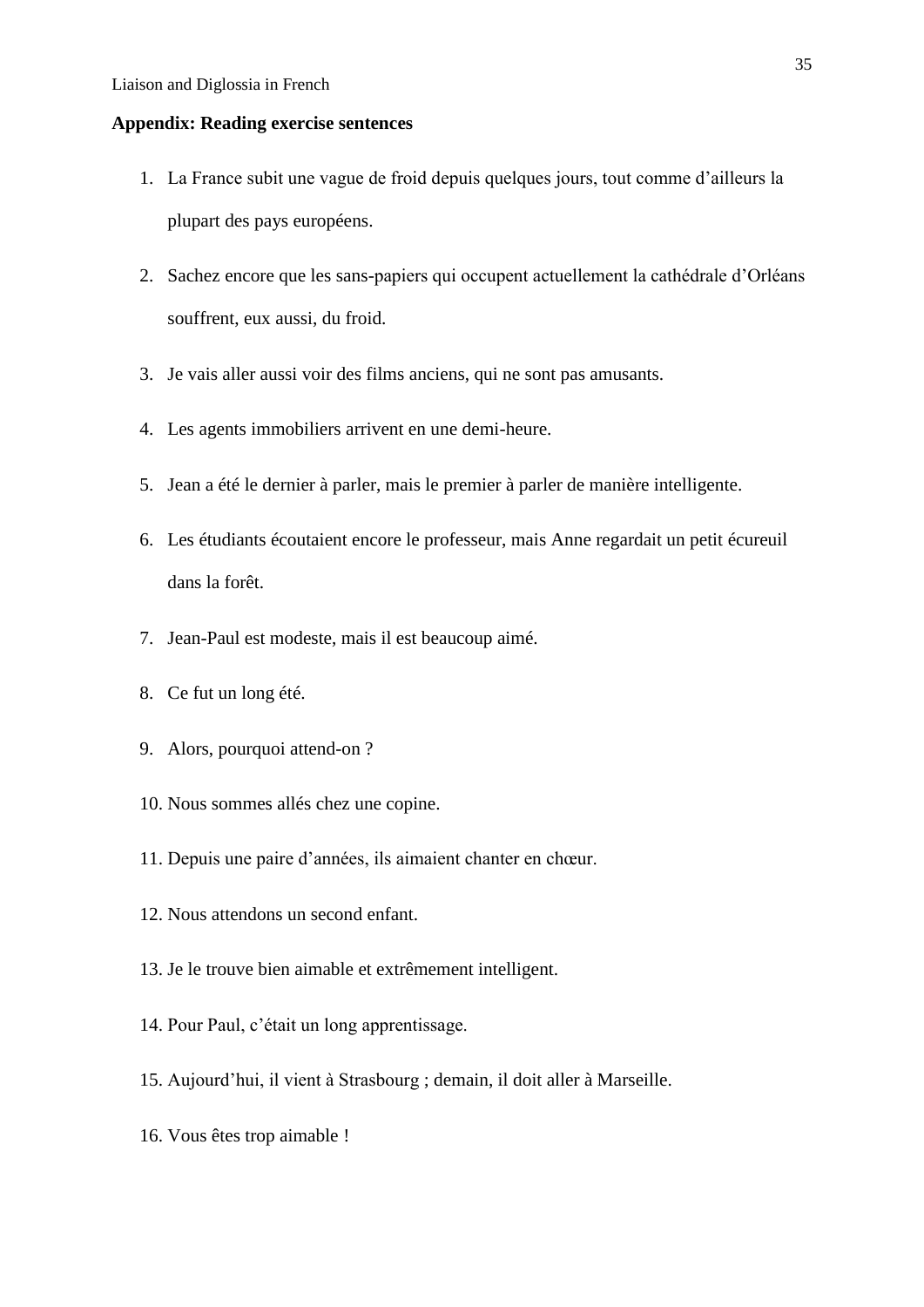## **Appendix: Reading exercise sentences**

- 1. La France subit une vague de froid depuis quelques jours, tout comme d'ailleurs la plupart des pays européens.
- 2. Sachez encore que les sans-papiers qui occupent actuellement la cathédrale d'Orléans souffrent, eux aussi, du froid.
- 3. Je vais aller aussi voir des films anciens, qui ne sont pas amusants.
- 4. Les agents immobiliers arrivent en une demi-heure.
- 5. Jean a été le dernier à parler, mais le premier à parler de manière intelligente.
- 6. Les étudiants écoutaient encore le professeur, mais Anne regardait un petit écureuil dans la forêt.
- 7. Jean-Paul est modeste, mais il est beaucoup aimé.
- 8. Ce fut un long été.
- 9. Alors, pourquoi attend-on ?
- 10. Nous sommes allés chez une copine.
- 11. Depuis une paire d'années, ils aimaient chanter en chœur.
- 12. Nous attendons un second enfant.
- 13. Je le trouve bien aimable et extrêmement intelligent.
- 14. Pour Paul, c'était un long apprentissage.
- 15. Aujourd'hui, il vient à Strasbourg ; demain, il doit aller à Marseille.
- 16. Vous êtes trop aimable !